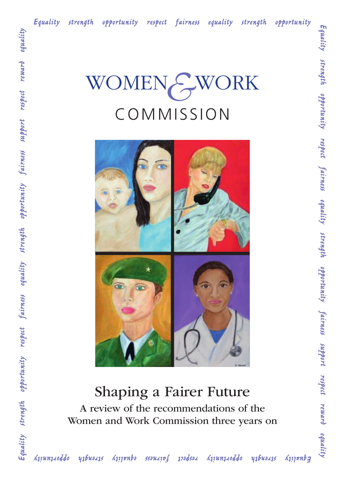



# Shaping a Fairer Future A review of the recommendations of the

Women and Work Commission three years on

*Equality strength opportunity respect fairness equality strength opportunity*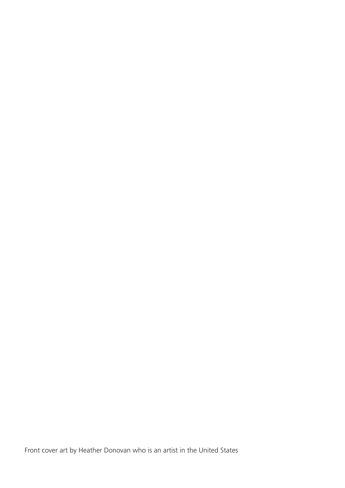Front cover art by Heather Donovan who is an artist in the United States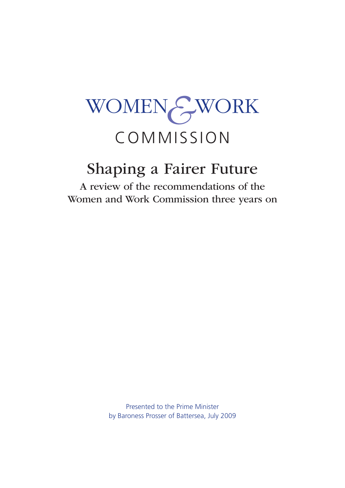# WOMEN*&*WORK COMMISSION

# Shaping a Fairer Future

A review of the recommendations of the Women and Work Commission three years on

> Presented to the Prime Minister by Baroness Prosser of Battersea, July 2009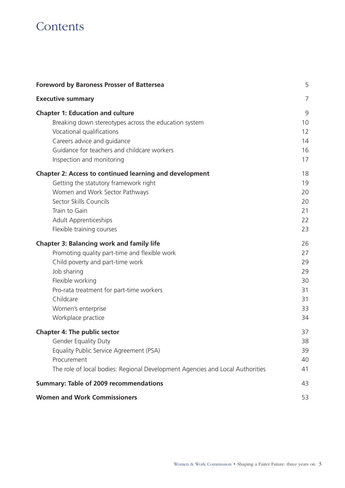# **Contents**

| <b>Foreword by Baroness Prosser of Battersea</b>                              | 5  |
|-------------------------------------------------------------------------------|----|
| <b>Executive summary</b>                                                      | 7  |
| <b>Chapter 1: Education and culture</b>                                       | 9  |
| Breaking down stereotypes across the education system                         | 10 |
| Vocational qualifications                                                     | 12 |
| Careers advice and guidance                                                   | 14 |
| Guidance for teachers and childcare workers                                   | 16 |
| Inspection and monitoring                                                     | 17 |
| <b>Chapter 2: Access to continued learning and development</b>                | 18 |
| Getting the statutory framework right                                         | 19 |
| Women and Work Sector Pathways                                                | 20 |
| Sector Skills Councils                                                        | 20 |
| Train to Gain                                                                 | 21 |
| <b>Adult Apprenticeships</b>                                                  | 22 |
| Flexible training courses                                                     | 23 |
| <b>Chapter 3: Balancing work and family life</b>                              | 26 |
| Promoting quality part-time and flexible work                                 | 27 |
| Child poverty and part-time work                                              | 29 |
| Job sharing                                                                   | 29 |
| Flexible working                                                              | 30 |
| Pro-rata treatment for part-time workers                                      | 31 |
| Childcare                                                                     | 31 |
| Women's enterprise                                                            | 33 |
| Workplace practice                                                            | 34 |
| <b>Chapter 4: The public sector</b>                                           | 37 |
| <b>Gender Equality Duty</b>                                                   | 38 |
| Equality Public Service Agreement (PSA)                                       | 39 |
| Procurement                                                                   | 40 |
| The role of local bodies: Regional Development Agencies and Local Authorities | 41 |
| <b>Summary: Table of 2009 recommendations</b>                                 | 43 |
| <b>Women and Work Commissioners</b>                                           | 53 |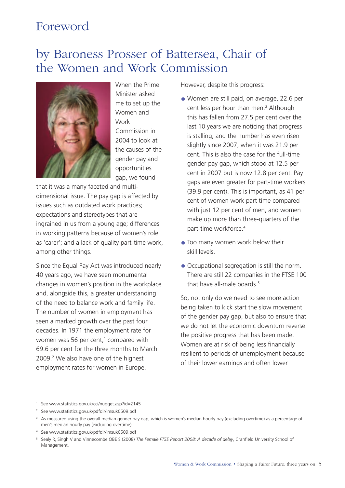# <span id="page-6-0"></span>Foreword

# by Baroness Prosser of Battersea, Chair of the Women and Work Commission



When the Prime Minister asked me to set up the Women and Work Commission in 2004 to look at the causes of the gender pay and opportunities gap, we found

that it was a many faceted and multidimensional issue. The pay gap is affected by issues such as outdated work practices; expectations and stereotypes that are ingrained in us from a young age; differences in working patterns because of women's role as 'carer'; and a lack of quality part-time work, among other things.

Since the Equal Pay Act was introduced nearly 40 years ago, we have seen monumental changes in women's position in the workplace and, alongside this, a greater understanding of the need to balance work and family life. The number of women in employment has seen a marked growth over the past four decades. In 1971 the employment rate for women was 56 per cent, $1$  compared with 69.6 per cent for the three months to March 2009.2 We also have one of the highest employment rates for women in Europe.

However, despite this progress:

- Women are still paid, on average, 22.6 per cent less per hour than men.<sup>3</sup> Although this has fallen from 27.5 per cent over the last 10 years we are noticing that progress is stalling, and the number has even risen slightly since 2007, when it was 21.9 per cent. This is also the case for the full-time gender pay gap, which stood at 12.5 per cent in 2007 but is now 12.8 per cent. Pay gaps are even greater for part-time workers (39.9 per cent). This is important, as 41 per cent of women work part time compared with just 12 per cent of men, and women make up more than three-quarters of the part-time workforce.4
- Too many women work below their skill levels.
- Occupational segregation is still the norm. There are still 22 companies in the FTSE 100 that have all-male boards  $5$

So, not only do we need to see more action being taken to kick start the slow movement of the gender pay gap, but also to ensure that we do not let the economic downturn reverse the positive progress that has been made. Women are at risk of being less financially resilient to periods of unemployment because of their lower earnings and often lower

- 2 See [www.statistics.gov.uk/pdfdir/lmsuk0509.pdf](http://www.statistics.gov.uk/pdfdir/lmsuk0509.pdf)
- <sup>3</sup> As measured using the overall median gender pay gap, which is women's median hourly pay (excluding overtime) as a percentage of men's median hourly pay (excluding overtime).
- 4 See [www.statistics.gov.uk/pdfdir/lmsuk0509.pdf](http://www.statistics.gov.uk/pdfdir/lmsuk0509.pdf)
- <sup>5</sup> Sealy R, Singh V and Vinnecombe OBE S (2008) The Female FTSE Report 2008: A decade of delay, Cranfield University School of Management.

<sup>1</sup> See [www.statistics.gov.uk/cci/nugget.asp?id=2145](http://www.statistics.gov.uk/cci/nugget.asp?id=2145)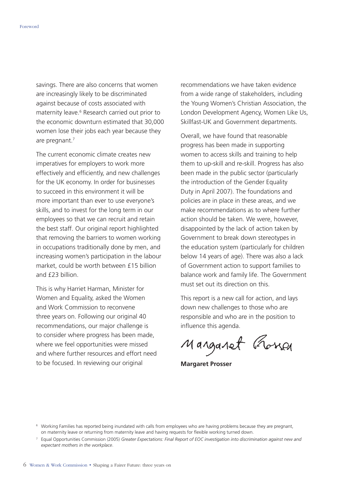savings. There are also concerns that women are increasingly likely to be discriminated against because of costs associated with maternity leave.<sup>6</sup> Research carried out prior to the economic downturn estimated that 30,000 women lose their jobs each year because they are pregnant.7

The current economic climate creates new imperatives for employers to work more effectively and efficiently, and new challenges for the UK economy. In order for businesses to succeed in this environment it will be more important than ever to use everyone's skills, and to invest for the long term in our employees so that we can recruit and retain the best staff. Our original report highlighted that removing the barriers to women working in occupations traditionally done by men, and increasing women's participation in the labour market, could be worth between £15 billion and £23 billion.

This is why Harriet Harman, Minister for Women and Equality, asked the Women and Work Commission to reconvene three years on. Following our original 40 recommendations, our major challenge is to consider where progress has been made, where we feel opportunities were missed and where further resources and effort need to be focused. In reviewing our original

recommendations we have taken evidence from a wide range of stakeholders, including the Young Women's Christian Association, the London Development Agency, Women Like Us, Skillfast-UK and Government departments.

Overall, we have found that reasonable progress has been made in supporting women to access skills and training to help them to up-skill and re-skill. Progress has also been made in the public sector (particularly the introduction of the Gender Equality Duty in April 2007). The foundations and policies are in place in these areas, and we make recommendations as to where further action should be taken. We were, however, disappointed by the lack of action taken by Government to break down stereotypes in the education system (particularly for children below 14 years of age). There was also a lack of Government action to support families to balance work and family life. The Government must set out its direction on this.

This report is a new call for action, and lays down new challenges to those who are responsible and who are in the position to influence this agenda.

Manganet Rosser

**Margaret Prosser** 

<sup>6</sup> Working Families has reported being inundated with calls from employees who are having problems because they are pregnant, on maternity leave or returning from maternity leave and having requests for flexible working turned down.

<sup>7</sup> Equal Opportunities Commission (2005) *Greater Expectations: Final Report of EOC investigation into discrimination against new and expectant mothers in the workplace*.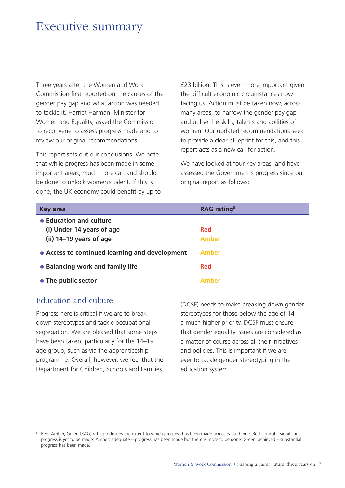# <span id="page-8-0"></span>Executive summary

Three years after the Women and Work Commission first reported on the causes of the gender pay gap and what action was needed to tackle it, Harriet Harman, Minister for Women and Equality, asked the Commission to reconvene to assess progress made and to review our original recommendations.

This report sets out our conclusions. We note that while progress has been made in some important areas, much more can and should be done to unlock women's talent. If this is done, the UK economy could benefit by up to £23 billion. This is even more important given the difficult economic circumstances now facing us. Action must be taken now, across many areas, to narrow the gender pay gap and utilise the skills, talents and abilities of women. Our updated recommendations seek to provide a clear blueprint for this, and this report acts as a new call for action.

We have looked at four key areas, and have assessed the Government's progress since our original report as follows:

| <b>Key area</b>                                | <b>RAG</b> rating <sup>8</sup> |
|------------------------------------------------|--------------------------------|
| • Education and culture                        |                                |
| (i) Under 14 years of age                      | <b>Red</b>                     |
| (ii) 14-19 years of age                        | Amber                          |
| • Access to continued learning and development | Amber                          |
| • Balancing work and family life               | <b>Red</b>                     |
| • The public sector                            | <b>Amher</b>                   |

# Education and culture

Progress here is critical if we are to break down stereotypes and tackle occupational segregation. We are pleased that some steps have been taken, particularly for the 14–19 age group, such as via the apprenticeship programme. Overall, however, we feel that the Department for Children, Schools and Families

(DCSF) needs to make breaking down gender stereotypes for those below the age of 14 a much higher priority. DCSF must ensure that gender equality issues are considered as a matter of course across all their initiatives and policies. This is important if we are ever to tackle gender stereotyping in the education system.

<sup>8</sup> Red, Amber, Green (RAG) rating indicates the extent to which progress has been made across each theme. Red: critical – significant progress is yet to be made; Amber: adequate – progress has been made but there is more to be done; Green: achieved – substantial progress has been made.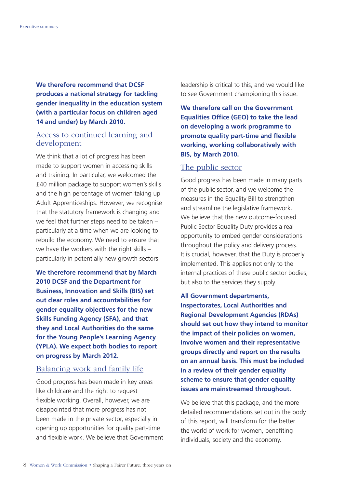**We therefore recommend that DCSF produces a national strategy for tackling gender inequality in the education system (with a particular focus on children aged 14 and under) by March 2010.** 

# Access to continued learning and development

We think that a lot of progress has been made to support women in accessing skills and training. In particular, we welcomed the £40 million package to support women's skills and the high percentage of women taking up Adult Apprenticeships. However, we recognise that the statutory framework is changing and we feel that further steps need to be taken – particularly at a time when we are looking to rebuild the economy. We need to ensure that we have the workers with the right skills – particularly in potentially new growth sectors.

**We therefore recommend that by March 2010 DCSF and the Department for Business, Innovation and Skills (BIS) set out clear roles and accountabilities for gender equality objectives for the new Skills Funding Agency (SFA), and that they and Local Authorities do the same for the Young People's Learning Agency (YPLA). We expect both bodies to report on progress by March 2012.** 

# Balancing work and family life

Good progress has been made in key areas like childcare and the right to request flexible working. Overall, however, we are disappointed that more progress has not been made in the private sector, especially in opening up opportunities for quality part-time and flexible work. We believe that Government leadership is critical to this, and we would like to see Government championing this issue.

**We therefore call on the Government Equalities Office (GEO) to take the lead on developing a work programme to promote quality part-time and flexible working, working collaboratively with BIS, by March 2010.** 

#### The public sector

Good progress has been made in many parts of the public sector, and we welcome the measures in the Equality Bill to strengthen and streamline the legislative framework. We believe that the new outcome-focused Public Sector Equality Duty provides a real opportunity to embed gender considerations throughout the policy and delivery process. It is crucial, however, that the Duty is properly implemented. This applies not only to the internal practices of these public sector bodies, but also to the services they supply.

**All Government departments, Inspectorates, Local Authorities and Regional Development Agencies (RDAs) should set out how they intend to monitor the impact of their policies on women, involve women and their representative groups directly and report on the results on an annual basis. This must be included in a review of their gender equality scheme to ensure that gender equality issues are mainstreamed throughout.** 

We believe that this package, and the more detailed recommendations set out in the body of this report, will transform for the better the world of work for women, benefiting individuals, society and the economy.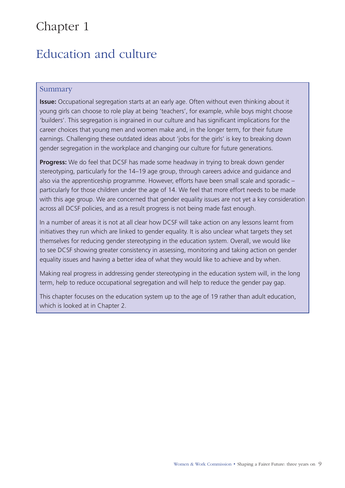# <span id="page-10-0"></span>Chapter 1

# Education and culture

# Summary

**Issue:** Occupational segregation starts at an early age. Often without even thinking about it young girls can choose to role play at being 'teachers', for example, while boys might choose 'builders'. This segregation is ingrained in our culture and has significant implications for the career choices that young men and women make and, in the longer term, for their future earnings. Challenging these outdated ideas about 'jobs for the girls' is key to breaking down gender segregation in the workplace and changing our culture for future generations.

**Progress:** We do feel that DCSF has made some headway in trying to break down gender stereotyping, particularly for the 14–19 age group, through careers advice and guidance and also via the apprenticeship programme. However, efforts have been small scale and sporadic – particularly for those children under the age of 14. We feel that more effort needs to be made with this age group. We are concerned that gender equality issues are not yet a key consideration across all DCSF policies, and as a result progress is not being made fast enough.

In a number of areas it is not at all clear how DCSF will take action on any lessons learnt from initiatives they run which are linked to gender equality. It is also unclear what targets they set themselves for reducing gender stereotyping in the education system. Overall, we would like to see DCSF showing greater consistency in assessing, monitoring and taking action on gender equality issues and having a better idea of what they would like to achieve and by when.

Making real progress in addressing gender stereotyping in the education system will, in the long term, help to reduce occupational segregation and will help to reduce the gender pay gap.

This chapter focuses on the education system up to the age of 19 rather than adult education, which is looked at in Chapter 2.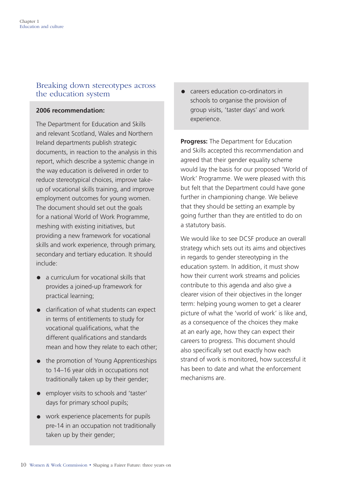# <span id="page-11-0"></span>Breaking down stereotypes across the education system

# **2006 recommendation:**

The Department for Education and Skills and relevant Scotland, Wales and Northern Ireland departments publish strategic documents, in reaction to the analysis in this report, which describe a systemic change in the way education is delivered in order to reduce stereotypical choices, improve takeup of vocational skills training, and improve employment outcomes for young women. The document should set out the goals for a national World of Work Programme, meshing with existing initiatives, but providing a new framework for vocational skills and work experience, through primary, secondary and tertiary education. It should include:

- a curriculum for vocational skills that provides a joined-up framework for practical learning;
- clarification of what students can expect in terms of entitlements to study for vocational qualifications, what the different qualifications and standards mean and how they relate to each other;
- the promotion of Young Apprenticeships to 14–16 year olds in occupations not traditionally taken up by their gender;
- employer visits to schools and 'taster' days for primary school pupils;
- work experience placements for pupils pre-14 in an occupation not traditionally taken up by their gender;

careers education co-ordinators in schools to organise the provision of group visits, 'taster days' and work experience.

**Progress:** The Department for Education and Skills accepted this recommendation and agreed that their gender equality scheme would lay the basis for our proposed 'World of Work' Programme. We were pleased with this but felt that the Department could have gone further in championing change. We believe that they should be setting an example by going further than they are entitled to do on a statutory basis.

We would like to see DCSF produce an overall strategy which sets out its aims and objectives in regards to gender stereotyping in the education system. In addition, it must show how their current work streams and policies contribute to this agenda and also give a clearer vision of their objectives in the longer term: helping young women to get a clearer picture of what the 'world of work' is like and, as a consequence of the choices they make at an early age, how they can expect their careers to progress. This document should also specifically set out exactly how each strand of work is monitored, how successful it has been to date and what the enforcement mechanisms are.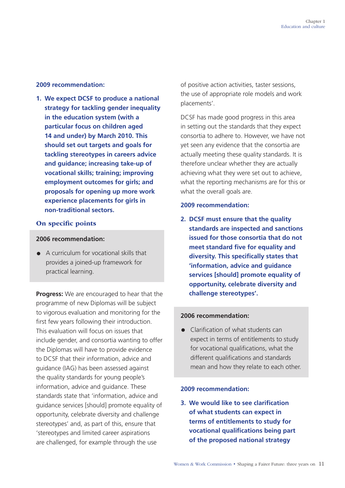#### **2009 recommendation:**

**1. We expect DCSF to produce a national strategy for tackling gender inequality in the education system (with a particular focus on children aged 14 and under) by March 2010. This should set out targets and goals for tackling stereotypes in careers advice and guidance; increasing take-up of vocational skills; training; improving employment outcomes for girls; and proposals for opening up more work experience placements for girls in non-traditional sectors.** 

### On specific points

### **2006 recommendation:**

• A curriculum for vocational skills that provides a joined-up framework for practical learning.

**Progress:** We are encouraged to hear that the programme of new Diplomas will be subject to vigorous evaluation and monitoring for the first few years following their introduction. This evaluation will focus on issues that include gender, and consortia wanting to offer the Diplomas will have to provide evidence to DCSF that their information, advice and guidance (IAG) has been assessed against the quality standards for young people's information, advice and guidance. These standards state that 'information, advice and guidance services [should] promote equality of opportunity, celebrate diversity and challenge stereotypes' and, as part of this, ensure that 'stereotypes and limited career aspirations are challenged, for example through the use

of positive action activities, taster sessions, the use of appropriate role models and work placements'.

DCSF has made good progress in this area in setting out the standards that they expect consortia to adhere to. However, we have not yet seen any evidence that the consortia are actually meeting these quality standards. It is therefore unclear whether they are actually achieving what they were set out to achieve, what the reporting mechanisms are for this or what the overall goals are.

#### **2009 recommendation:**

**2. DCSF must ensure that the quality standards are inspected and sanctions issued for those consortia that do not meet standard five for equality and diversity. This specifically states that 'information, advice and guidance services [should] promote equality of opportunity, celebrate diversity and challenge stereotypes'.** 

#### **2006 recommendation:**

• Clarification of what students can expect in terms of entitlements to study for vocational qualifications, what the different qualifications and standards mean and how they relate to each other.

#### **2009 recommendation:**

**3. We would like to see clarification of what students can expect in terms of entitlements to study for vocational qualifications being part of the proposed national strategy**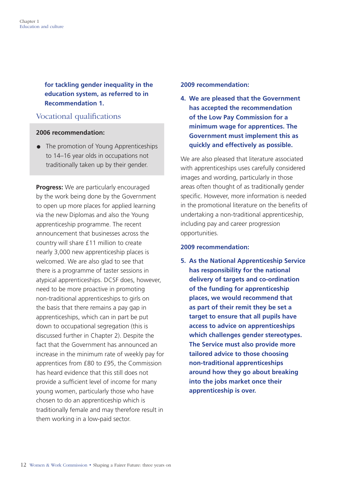<span id="page-13-0"></span>**for tackling gender inequality in the education system, as referred to in Recommendation 1.** 

# Vocational qualifications

# **2006 recommendation:**

• The promotion of Young Apprenticeships to 14–16 year olds in occupations not traditionally taken up by their gender.

**Progress:** We are particularly encouraged by the work being done by the Government to open up more places for applied learning via the new Diplomas and also the Young apprenticeship programme. The recent announcement that businesses across the country will share £11 million to create nearly 3,000 new apprenticeship places is welcomed. We are also glad to see that there is a programme of taster sessions in atypical apprenticeships. DCSF does, however, need to be more proactive in promoting non-traditional apprenticeships to girls on the basis that there remains a pay gap in apprenticeships, which can in part be put down to occupational segregation (this is discussed further in Chapter 2). Despite the fact that the Government has announced an increase in the minimum rate of weekly pay for apprentices from £80 to £95, the Commission has heard evidence that this still does not provide a sufficient level of income for many young women, particularly those who have chosen to do an apprenticeship which is traditionally female and may therefore result in them working in a low-paid sector.

#### **2009 recommendation:**

**4. We are pleased that the Government has accepted the recommendation of the Low Pay Commission for a minimum wage for apprentices. The Government must implement this as quickly and effectively as possible.** 

We are also pleased that literature associated with apprenticeships uses carefully considered images and wording, particularly in those areas often thought of as traditionally gender specific. However, more information is needed in the promotional literature on the benefits of undertaking a non-traditional apprenticeship, including pay and career progression opportunities.

# **2009 recommendation:**

**5. As the National Apprenticeship Service has responsibility for the national delivery of targets and co-ordination of the funding for apprenticeship places, we would recommend that as part of their remit they be set a target to ensure that all pupils have access to advice on apprenticeships which challenges gender stereotypes. The Service must also provide more tailored advice to those choosing non-traditional apprenticeships around how they go about breaking into the jobs market once their apprenticeship is over.**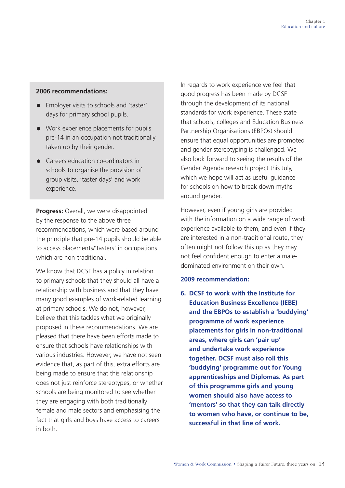### **2006 recommendations:**

- Employer visits to schools and 'taster' days for primary school pupils.
- Work experience placements for pupils pre-14 in an occupation not traditionally taken up by their gender.
- Careers education co-ordinators in schools to organise the provision of group visits, 'taster days' and work experience.

**Progress:** Overall, we were disappointed by the response to the above three recommendations, which were based around the principle that pre-14 pupils should be able to access placements/'tasters' in occupations which are non-traditional.

We know that DCSF has a policy in relation to primary schools that they should all have a relationship with business and that they have many good examples of work-related learning at primary schools. We do not, however, believe that this tackles what we originally proposed in these recommendations. We are pleased that there have been efforts made to ensure that schools have relationships with various industries. However, we have not seen evidence that, as part of this, extra efforts are being made to ensure that this relationship does not just reinforce stereotypes, or whether schools are being monitored to see whether they are engaging with both traditionally female and male sectors and emphasising the fact that girls and boys have access to careers in both.

In regards to work experience we feel that good progress has been made by DCSF through the development of its national standards for work experience. These state that schools, colleges and Education Business Partnership Organisations (EBPOs) should ensure that equal opportunities are promoted and gender stereotyping is challenged. We also look forward to seeing the results of the Gender Agenda research project this July, which we hope will act as useful guidance for schools on how to break down myths around gender.

However, even if young girls are provided with the information on a wide range of work experience available to them, and even if they are interested in a non-traditional route, they often might not follow this up as they may not feel confident enough to enter a maledominated environment on their own.

#### **2009 recommendation:**

**6. DCSF to work with the Institute for Education Business Excellence (IEBE) and the EBPOs to establish a 'buddying' programme of work experience placements for girls in non-traditional areas, where girls can 'pair up' and undertake work experience together. DCSF must also roll this 'buddying' programme out for Young apprenticeships and Diplomas. As part of this programme girls and young women should also have access to 'mentors' so that they can talk directly to women who have, or continue to be, successful in that line of work.**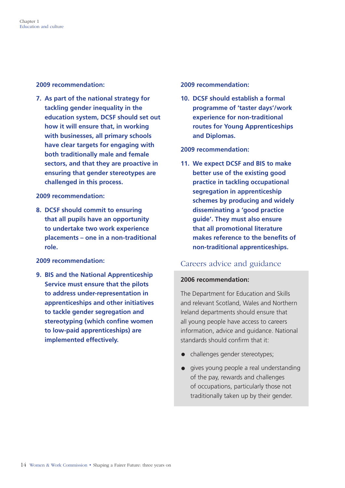<span id="page-15-0"></span>**2009 recommendation:** 

**7. As part of the national strategy for tackling gender inequality in the education system, DCSF should set out how it will ensure that, in working with businesses, all primary schools have clear targets for engaging with both traditionally male and female sectors, and that they are proactive in ensuring that gender stereotypes are challenged in this process.** 

### **2009 recommendation:**

**8. DCSF should commit to ensuring that all pupils have an opportunity to undertake two work experience placements – one in a non-traditional role.** 

# **2009 recommendation:**

**9. BIS and the National Apprenticeship Service must ensure that the pilots to address under-representation in apprenticeships and other initiatives to tackle gender segregation and stereotyping (which confine women to low-paid apprenticeships) are implemented effectively.** 

### **2009 recommendation:**

**10. DCSF should establish a formal programme of 'taster days'/work experience for non-traditional routes for Young Apprenticeships and Diplomas.** 

# **2009 recommendation:**

**11. We expect DCSF and BIS to make better use of the existing good practice in tackling occupational segregation in apprenticeship schemes by producing and widely disseminating a 'good practice guide'. They must also ensure that all promotional literature makes reference to the benefits of non-traditional apprenticeships.** 

# Careers advice and guidance

# **2006 recommendation:**

The Department for Education and Skills and relevant Scotland, Wales and Northern Ireland departments should ensure that all young people have access to careers information, advice and guidance. National standards should confirm that it:

- challenges gender stereotypes;
- gives young people a real understanding of the pay, rewards and challenges of occupations, particularly those not traditionally taken up by their gender.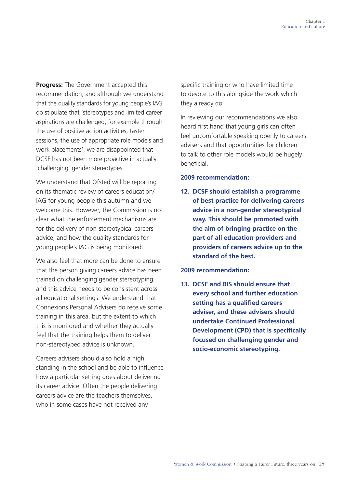**Progress:** The Government accepted this recommendation, and although we understand that the quality standards for young people's IAG do stipulate that 'stereotypes and limited career aspirations are challenged, for example through the use of positive action activities, taster sessions, the use of appropriate role models and work placements', we are disappointed that DCSF has not been more proactive in actually 'challenging' gender stereotypes.

We understand that Ofsted will be reporting on its thematic review of careers education/ IAG for young people this autumn and we welcome this. However, the Commission is not clear what the enforcement mechanisms are for the delivery of non-stereotypical careers advice, and how the quality standards for young people's IAG is being monitored.

We also feel that more can be done to ensure that the person giving careers advice has been trained on challenging gender stereotyping, and this advice needs to be consistent across all educational settings. We understand that Connexions Personal Advisers do receive some training in this area, but the extent to which this is monitored and whether they actually feel that the training helps them to deliver non-stereotyped advice is unknown.

Careers advisers should also hold a high standing in the school and be able to influence how a particular setting goes about delivering its career advice. Often the people delivering careers advice are the teachers themselves, who in some cases have not received any

specific training or who have limited time to devote to this alongside the work which they already do.

In reviewing our recommendations we also heard first hand that young girls can often feel uncomfortable speaking openly to careers advisers and that opportunities for children to talk to other role models would be hugely beneficial.

# **2009 recommendation:**

**12. DCSF should establish a programme of best practice for delivering careers advice in a non-gender stereotypical way. This should be promoted with the aim of bringing practice on the part of all education providers and providers of careers advice up to the standard of the best.** 

# **2009 recommendation:**

**13. DCSF and BIS should ensure that every school and further education setting has a qualified careers adviser, and these advisers should undertake Continued Professional Development (CPD) that is specifically focused on challenging gender and socio-economic stereotyping.**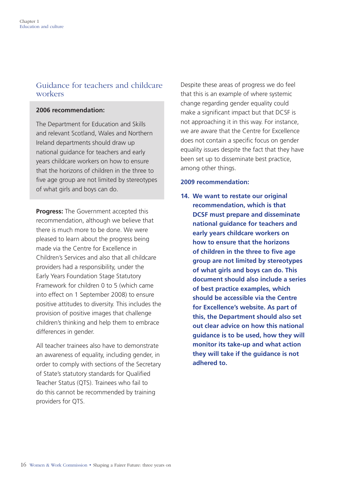# <span id="page-17-0"></span>Guidance for teachers and childcare workers

### **2006 recommendation:**

The Department for Education and Skills and relevant Scotland, Wales and Northern Ireland departments should draw up national guidance for teachers and early years childcare workers on how to ensure that the horizons of children in the three to five age group are not limited by stereotypes of what girls and boys can do.

**Progress:** The Government accepted this recommendation, although we believe that there is much more to be done. We were pleased to learn about the progress being made via the Centre for Excellence in Children's Services and also that all childcare providers had a responsibility, under the Early Years Foundation Stage Statutory Framework for children 0 to 5 (which came into effect on 1 September 2008) to ensure positive attitudes to diversity. This includes the provision of positive images that challenge children's thinking and help them to embrace differences in gender.

All teacher trainees also have to demonstrate an awareness of equality, including gender, in order to comply with sections of the Secretary of State's statutory standards for Qualified Teacher Status (QTS). Trainees who fail to do this cannot be recommended by training providers for QTS.

Despite these areas of progress we do feel that this is an example of where systemic change regarding gender equality could make a significant impact but that DCSF is not approaching it in this way. For instance, we are aware that the Centre for Excellence does not contain a specific focus on gender equality issues despite the fact that they have been set up to disseminate best practice, among other things.

# **2009 recommendation:**

**14. We want to restate our original recommendation, which is that DCSF must prepare and disseminate national guidance for teachers and early years childcare workers on how to ensure that the horizons of children in the three to five age group are not limited by stereotypes of what girls and boys can do. This document should also include a series of best practice examples, which should be accessible via the Centre for Excellence's website. As part of this, the Department should also set out clear advice on how this national guidance is to be used, how they will monitor its take-up and what action they will take if the guidance is not adhered to.**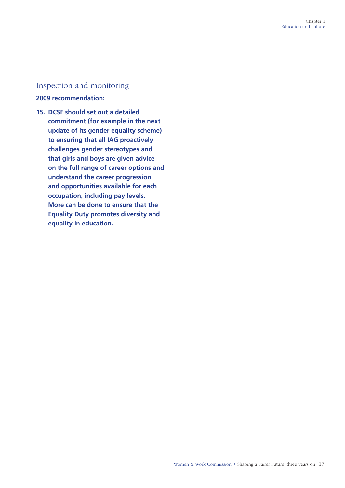# <span id="page-18-0"></span>Inspection and monitoring

# **2009 recommendation:**

**15. DCSF should set out a detailed commitment (for example in the next update of its gender equality scheme) to ensuring that all IAG proactively challenges gender stereotypes and that girls and boys are given advice on the full range of career options and understand the career progression and opportunities available for each occupation, including pay levels. More can be done to ensure that the Equality Duty promotes diversity and equality in education.**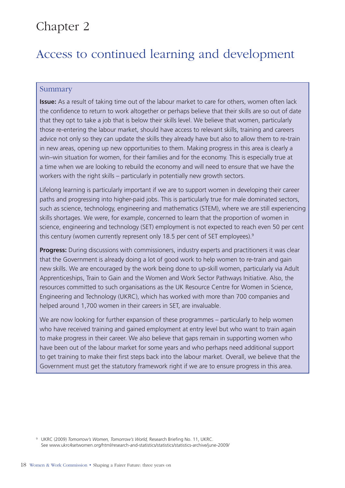# <span id="page-19-0"></span>Chapter 2

# Access to continued learning and development

# Summary

**Issue:** As a result of taking time out of the labour market to care for others, women often lack the confidence to return to work altogether or perhaps believe that their skills are so out of date that they opt to take a job that is below their skills level. We believe that women, particularly those re-entering the labour market, should have access to relevant skills, training and careers advice not only so they can update the skills they already have but also to allow them to re-train in new areas, opening up new opportunities to them. Making progress in this area is clearly a win–win situation for women, for their families and for the economy. This is especially true at a time when we are looking to rebuild the economy and will need to ensure that we have the workers with the right skills – particularly in potentially new growth sectors.

Lifelong learning is particularly important if we are to support women in developing their career paths and progressing into higher-paid jobs. This is particularly true for male dominated sectors, such as science, technology, engineering and mathematics (STEM), where we are still experiencing skills shortages. We were, for example, concerned to learn that the proportion of women in science, engineering and technology (SET) employment is not expected to reach even 50 per cent this century (women currently represent only 18.5 per cent of SET employees).<sup>9</sup>

**Progress:** During discussions with commissioners, industry experts and practitioners it was clear that the Government is already doing a lot of good work to help women to re-train and gain new skills. We are encouraged by the work being done to up-skill women, particularly via Adult Apprenticeships, Train to Gain and the Women and Work Sector Pathways Initiative. Also, the resources committed to such organisations as the UK Resource Centre for Women in Science, Engineering and Technology (UKRC), which has worked with more than 700 companies and helped around 1,700 women in their careers in SET, are invaluable.

We are now looking for further expansion of these programmes – particularly to help women who have received training and gained employment at entry level but who want to train again to make progress in their career. We also believe that gaps remain in supporting women who have been out of the labour market for some years and who perhaps need additional support to get training to make their first steps back into the labour market. Overall, we believe that the Government must get the statutory framework right if we are to ensure progress in this area.

9 UKRC (2009) *Tomorrow's Women, Tomorrow's World,* Research Briefing No. 11, UKRC. See [www.ukrc4setwomen.org/html/research-and-statistics/statistics/statistics-archive/june-2009/](http://www.ukrc4setwomen.org/html/research-and-statistics/statistics/statistics-archive/june-2009/)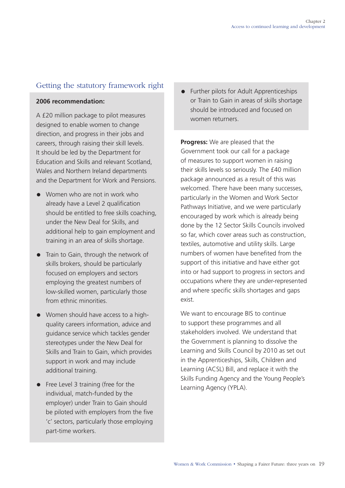# <span id="page-20-0"></span>Getting the statutory framework right

# **2006 recommendation:**

A £20 million package to pilot measures designed to enable women to change direction, and progress in their jobs and careers, through raising their skill levels. It should be led by the Department for Education and Skills and relevant Scotland, Wales and Northern Ireland departments and the Department for Work and Pensions.

- $\bullet$  Women who are not in work who already have a Level 2 qualification should be entitled to free skills coaching, under the New Deal for Skills, and additional help to gain employment and training in an area of skills shortage.
- Train to Gain, through the network of skills brokers, should be particularly focused on employers and sectors employing the greatest numbers of low-skilled women, particularly those from ethnic minorities.
- Women should have access to a highquality careers information, advice and guidance service which tackles gender stereotypes under the New Deal for Skills and Train to Gain, which provides support in work and may include additional training.
- Free Level 3 training (free for the individual, match-funded by the employer) under Train to Gain should be piloted with employers from the five 'c' sectors, particularly those employing part-time workers.

• Further pilots for Adult Apprenticeships or Train to Gain in areas of skills shortage should be introduced and focused on women returners.

**Progress:** We are pleased that the Government took our call for a package of measures to support women in raising their skills levels so seriously. The £40 million package announced as a result of this was welcomed. There have been many successes, particularly in the Women and Work Sector Pathways Initiative, and we were particularly encouraged by work which is already being done by the 12 Sector Skills Councils involved so far, which cover areas such as construction, textiles, automotive and utility skills. Large numbers of women have benefited from the support of this initiative and have either got into or had support to progress in sectors and occupations where they are under-represented and where specific skills shortages and gaps exist.

We want to encourage BIS to continue to support these programmes and all stakeholders involved. We understand that the Government is planning to dissolve the Learning and Skills Council by 2010 as set out in the Apprenticeships, Skills, Children and Learning (ACSL) Bill, and replace it with the Skills Funding Agency and the Young People's Learning Agency (YPLA).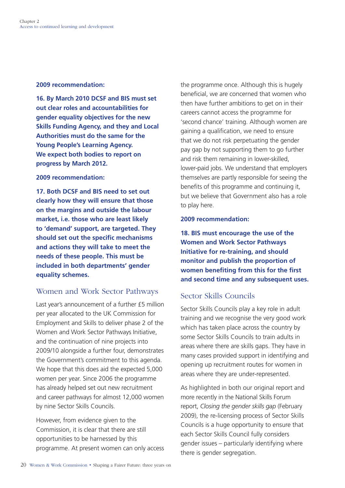### <span id="page-21-0"></span>**2009 recommendation:**

**16. By March 2010 DCSF and BIS must set out clear roles and accountabilities for gender equality objectives for the new Skills Funding Agency, and they and Local Authorities must do the same for the Young People's Learning Agency. We expect both bodies to report on progress by March 2012.** 

### **2009 recommendation:**

**17. Both DCSF and BIS need to set out clearly how they will ensure that those on the margins and outside the labour market, i.e. those who are least likely to 'demand' support, are targeted. They should set out the specific mechanisms and actions they will take to meet the needs of these people. This must be included in both departments' gender equality schemes.** 

# Women and Work Sector Pathways

Last year's announcement of a further £5 million per year allocated to the UK Commission for Employment and Skills to deliver phase 2 of the Women and Work Sector Pathways Initiative, and the continuation of nine projects into 2009/10 alongside a further four, demonstrates the Government's commitment to this agenda. We hope that this does aid the expected 5,000 women per year. Since 2006 the programme has already helped set out new recruitment and career pathways for almost 12,000 women by nine Sector Skills Councils.

However, from evidence given to the Commission, it is clear that there are still opportunities to be harnessed by this programme. At present women can only access the programme once. Although this is hugely beneficial, we are concerned that women who then have further ambitions to get on in their careers cannot access the programme for 'second chance' training. Although women are gaining a qualification, we need to ensure that we do not risk perpetuating the gender pay gap by not supporting them to go further and risk them remaining in lower-skilled, lower-paid jobs. We understand that employers themselves are partly responsible for seeing the benefits of this programme and continuing it, but we believe that Government also has a role to play here.

# **2009 recommendation:**

**18. BIS must encourage the use of the Women and Work Sector Pathways Initiative for re-training, and should monitor and publish the proportion of women benefiting from this for the first and second time and any subsequent uses.** 

# Sector Skills Councils

Sector Skills Councils play a key role in adult training and we recognise the very good work which has taken place across the country by some Sector Skills Councils to train adults in areas where there are skills gaps. They have in many cases provided support in identifying and opening up recruitment routes for women in areas where they are under-represented.

As highlighted in both our original report and more recently in the National Skills Forum report, *Closing the gender skills gap* (February 2009), the re-licensing process of Sector Skills Councils is a huge opportunity to ensure that each Sector Skills Council fully considers gender issues – particularly identifying where there is gender segregation.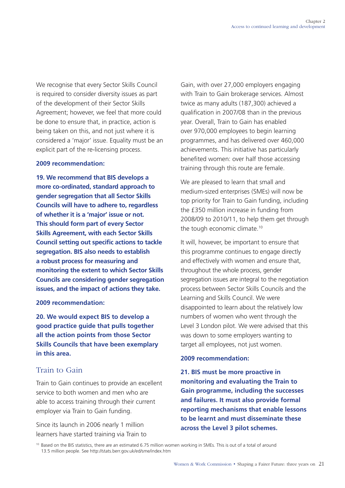<span id="page-22-0"></span>We recognise that every Sector Skills Council is required to consider diversity issues as part of the development of their Sector Skills Agreement; however, we feel that more could be done to ensure that, in practice, action is being taken on this, and not just where it is considered a 'major' issue. Equality must be an explicit part of the re-licensing process.

# **2009 recommendation:**

**19. We recommend that BIS develops a more co-ordinated, standard approach to gender segregation that all Sector Skills Councils will have to adhere to, regardless of whether it is a 'major' issue or not. This should form part of every Sector Skills Agreement, with each Sector Skills Council setting out specific actions to tackle segregation. BIS also needs to establish a robust process for measuring and monitoring the extent to which Sector Skills Councils are considering gender segregation issues, and the impact of actions they take.** 

**2009 recommendation:** 

**20. We would expect BIS to develop a good practice guide that pulls together all the action points from those Sector Skills Councils that have been exemplary in this area.** 

# Train to Gain

Train to Gain continues to provide an excellent service to both women and men who are able to access training through their current employer via Train to Gain funding.

Since its launch in 2006 nearly 1 million learners have started training via Train to Gain, with over 27,000 employers engaging with Train to Gain brokerage services. Almost twice as many adults (187,300) achieved a qualification in 2007/08 than in the previous year. Overall, Train to Gain has enabled over 970,000 employees to begin learning programmes, and has delivered over 460,000 achievements. This initiative has particularly benefited women: over half those accessing training through this route are female.

We are pleased to learn that small and medium-sized enterprises (SMEs) will now be top priority for Train to Gain funding, including the £350 million increase in funding from 2008/09 to 2010/11, to help them get through the tough economic climate.10

It will, however, be important to ensure that this programme continues to engage directly and effectively with women and ensure that, throughout the whole process, gender segregation issues are integral to the negotiation process between Sector Skills Councils and the Learning and Skills Council. We were disappointed to learn about the relatively low numbers of women who went through the Level 3 London pilot. We were advised that this was down to some employers wanting to target all employees, not just women.

# **2009 recommendation:**

**21. BIS must be more proactive in monitoring and evaluating the Train to Gain programme, including the successes and failures. It must also provide formal reporting mechanisms that enable lessons to be learnt and must disseminate these across the Level 3 pilot schemes.** 

<sup>&</sup>lt;sup>10</sup> Based on the BIS statistics, there are an estimated 6.75 million women working in SMEs. This is out of a total of around 13.5 million people. See<http://stats.berr.gov.uk/ed/sme/index.htm>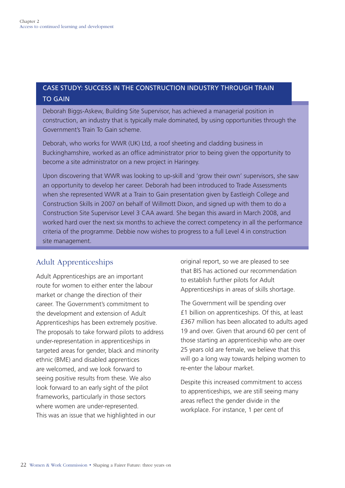# <span id="page-23-0"></span>CASE STUDY: SUCCESS IN THE CONSTRUCTION INDUSTRY THROUGH TRAIN **TO GAIN**

Deborah Biggs-Askew, Building Site Supervisor, has achieved a managerial position in construction, an industry that is typically male dominated, by using opportunities through the Government's Train To Gain scheme.

Deborah, who works for WWR (UK) Ltd, a roof sheeting and cladding business in Buckinghamshire, worked as an office administrator prior to being given the opportunity to become a site administrator on a new project in Haringey.

Upon discovering that WWR was looking to up-skill and 'grow their own' supervisors, she saw an opportunity to develop her career. Deborah had been introduced to Trade Assessments when she represented WWR at a Train to Gain presentation given by Eastleigh College and Construction Skills in 2007 on behalf of Willmott Dixon, and signed up with them to do a Construction Site Supervisor Level 3 CAA award. She began this award in March 2008, and worked hard over the next six months to achieve the correct competency in all the performance criteria of the programme. Debbie now wishes to progress to a full Level 4 in construction site management.

# Adult Apprenticeships

Adult Apprenticeships are an important route for women to either enter the labour market or change the direction of their career. The Government's commitment to the development and extension of Adult Apprenticeships has been extremely positive. The proposals to take forward pilots to address under-representation in apprenticeships in targeted areas for gender, black and minority ethnic (BME) and disabled apprentices are welcomed, and we look forward to seeing positive results from these. We also look forward to an early sight of the pilot frameworks, particularly in those sectors where women are under-represented. This was an issue that we highlighted in our

original report, so we are pleased to see that BIS has actioned our recommendation to establish further pilots for Adult Apprenticeships in areas of skills shortage.

The Government will be spending over £1 billion on apprenticeships. Of this, at least £367 million has been allocated to adults aged 19 and over. Given that around 60 per cent of those starting an apprenticeship who are over 25 years old are female, we believe that this will go a long way towards helping women to re-enter the labour market.

Despite this increased commitment to access to apprenticeships, we are still seeing many areas reflect the gender divide in the workplace. For instance, 1 per cent of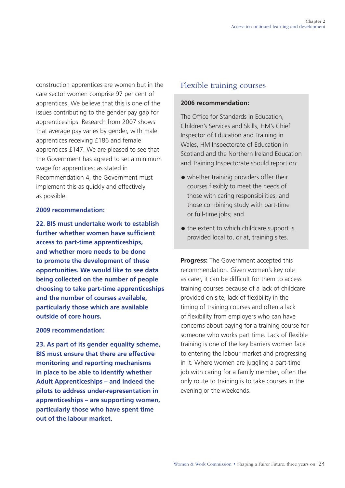<span id="page-24-0"></span>construction apprentices are women but in the care sector women comprise 97 per cent of apprentices. We believe that this is one of the issues contributing to the gender pay gap for apprenticeships. Research from 2007 shows that average pay varies by gender, with male apprentices receiving £186 and female apprentices £147. We are pleased to see that the Government has agreed to set a minimum wage for apprentices; as stated in Recommendation 4, the Government must implement this as quickly and effectively as possible.

# **2009 recommendation:**

**22. BIS must undertake work to establish further whether women have sufficient access to part-time apprenticeships, and whether more needs to be done to promote the development of these opportunities. We would like to see data being collected on the number of people choosing to take part-time apprenticeships and the number of courses available, particularly those which are available outside of core hours.** 

# **2009 recommendation:**

**23. As part of its gender equality scheme, BIS must ensure that there are effective monitoring and reporting mechanisms in place to be able to identify whether Adult Apprenticeships – and indeed the pilots to address under-representation in apprenticeships – are supporting women, particularly those who have spent time out of the labour market.** 

# Flexible training courses

#### **2006 recommendation:**

The Office for Standards in Education, Children's Services and Skills, HM's Chief Inspector of Education and Training in Wales, HM Inspectorate of Education in Scotland and the Northern Ireland Education and Training Inspectorate should report on:

- whether training providers offer their courses flexibly to meet the needs of those with caring responsibilities, and those combining study with part-time or full-time jobs; and
- the extent to which childcare support is provided local to, or at, training sites.

**Progress:** The Government accepted this recommendation. Given women's key role as carer, it can be difficult for them to access training courses because of a lack of childcare provided on site, lack of flexibility in the timing of training courses and often a lack of flexibility from employers who can have concerns about paying for a training course for someone who works part time. Lack of flexible training is one of the key barriers women face to entering the labour market and progressing in it. Where women are juggling a part-time job with caring for a family member, often the only route to training is to take courses in the evening or the weekends.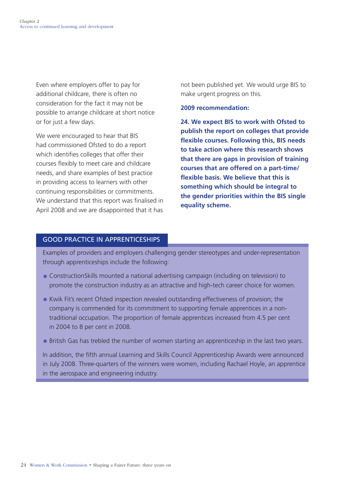Even where employers offer to pay for additional childcare, there is often no consideration for the fact it may not be possible to arrange childcare at short notice or for just a few days.

We were encouraged to hear that BIS had commissioned Ofsted to do a report which identifies colleges that offer their courses flexibly to meet care and childcare needs, and share examples of best practice in providing access to learners with other continuing responsibilities or commitments. We understand that this report was finalised in April 2008 and we are disappointed that it has

not been published yet. We would urge BIS to make urgent progress on this.

### **2009 recommendation:**

**24. We expect BIS to work with Ofsted to publish the report on colleges that provide flexible courses. Following this, BIS needs to take action where this research shows that there are gaps in provision of training courses that are offered on a part-time/ flexible basis. We believe that this is something which should be integral to the gender priorities within the BIS single equality scheme.** 

# GooD prACTiCE in ApprEnTiCEShipS

Examples of providers and employers challenging gender stereotypes and under-representation through apprenticeships include the following:

- ConstructionSkills mounted a national advertising campaign (including on television) to promote the construction industry as an attractive and high-tech career choice for women.
- Kwik Fit's recent Ofsted inspection revealed outstanding effectiveness of provision; the company is commended for its commitment to supporting female apprentices in a nontraditional occupation. The proportion of female apprentices increased from 4.5 per cent in 2004 to 8 per cent in 2008.
- British Gas has trebled the number of women starting an apprenticeship in the last two years.

In addition, the fifth annual Learning and Skills Council Apprenticeship Awards were announced in July 2008. Three-quarters of the winners were women, including Rachael Hoyle, an apprentice in the aerospace and engineering industry.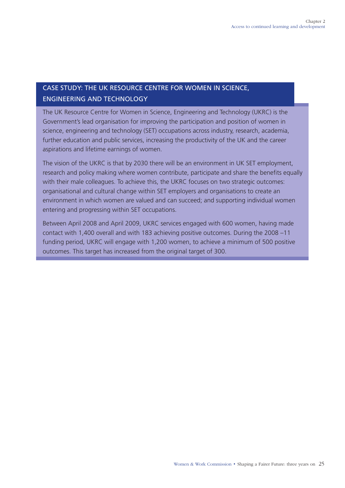# CASE STUDY: ThE UK rESoUrCE CEnTrE For WoMEn in SCiEnCE, EnGinEErinG AnD TEChnoLoGY

The UK Resource Centre for Women in Science, Engineering and Technology (UKRC) is the Government's lead organisation for improving the participation and position of women in science, engineering and technology (SET) occupations across industry, research, academia, further education and public services, increasing the productivity of the UK and the career aspirations and lifetime earnings of women.

The vision of the UKRC is that by 2030 there will be an environment in UK SET employment, research and policy making where women contribute, participate and share the benefits equally with their male colleagues. To achieve this, the UKRC focuses on two strategic outcomes: organisational and cultural change within SET employers and organisations to create an environment in which women are valued and can succeed; and supporting individual women entering and progressing within SET occupations.

Between April 2008 and April 2009, UKRC services engaged with 600 women, having made contact with 1,400 overall and with 183 achieving positive outcomes. During the 2008 –11 funding period, UKRC will engage with 1,200 women, to achieve a minimum of 500 positive outcomes. This target has increased from the original target of 300.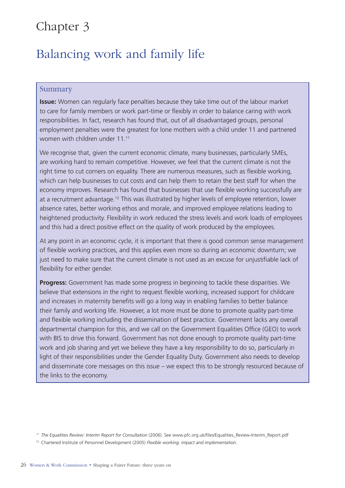# <span id="page-27-0"></span>Chapter 3

# Balancing work and family life

# Summary

**Issue:** Women can regularly face penalties because they take time out of the labour market to care for family members or work part-time or flexibly in order to balance caring with work responsibilities. In fact, research has found that, out of all disadvantaged groups, personal employment penalties were the greatest for lone mothers with a child under 11 and partnered women with children under 11.11

We recognise that, given the current economic climate, many businesses, particularly SMEs, are working hard to remain competitive. However, we feel that the current climate is not the right time to cut corners on equality. There are numerous measures, such as flexible working, which can help businesses to cut costs and can help them to retain the best staff for when the economy improves. Research has found that businesses that use flexible working successfully are at a recruitment advantage.12 This was illustrated by higher levels of employee retention, lower absence rates, better working ethos and morale, and improved employee relations leading to heightened productivity. Flexibility in work reduced the stress levels and work loads of employees and this had a direct positive effect on the quality of work produced by the employees.

At any point in an economic cycle, it is important that there is good common sense management of flexible working practices, and this applies even more so during an economic downturn; we just need to make sure that the current climate is not used as an excuse for unjustifiable lack of flexibility for either gender.

**Progress:** Government has made some progress in beginning to tackle these disparities. We believe that extensions in the right to request flexible working, increased support for childcare and increases in maternity benefits will go a long way in enabling families to better balance their family and working life. However, a lot more must be done to promote quality part-time and flexible working including the dissemination of best practice. Government lacks any overall departmental champion for this, and we call on the Government Equalities Office (GEO) to work with BIS to drive this forward. Government has not done enough to promote quality part-time work and job sharing and yet we believe they have a key responsibility to do so, particularly in light of their responsibilities under the Gender Equality Duty. Government also needs to develop and disseminate core messages on this issue – we expect this to be strongly resourced because of the links to the economy.

<sup>11</sup>*The Equalities Review: Interim Report for Consultation* (2006). See [www.pfc.org.uk/files/Equalities\\_Review-Interim\\_Report.pdf](http://www.pfc.org.uk/files/Equalities_Review-Interim_Report.pdf) 

<sup>12</sup> Chartered Institute of Personnel Development (2005) *Flexible working: impact and implementation.*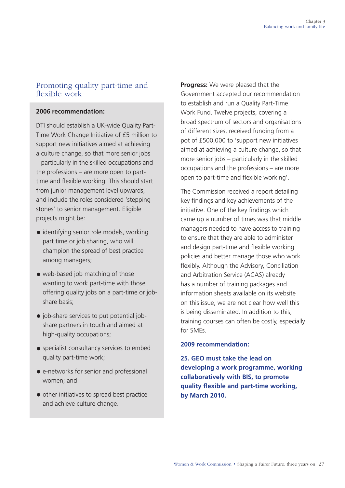# <span id="page-28-0"></span>Promoting quality part-time and flexible work

# **2006 recommendation:**

DTI should establish a UK-wide Quality Part-Time Work Change Initiative of £5 million to support new initiatives aimed at achieving a culture change, so that more senior jobs – particularly in the skilled occupations and the professions – are more open to parttime and flexible working. This should start from junior management level upwards, and include the roles considered 'stepping stones' to senior management. Eligible projects might be:

- identifying senior role models, working part time or job sharing, who will champion the spread of best practice among managers;
- web-based job matching of those wanting to work part-time with those offering quality jobs on a part-time or jobshare basis;
- job-share services to put potential jobshare partners in touch and aimed at high-quality occupations;
- specialist consultancy services to embed quality part-time work;
- e-networks for senior and professional women; and
- other initiatives to spread best practice and achieve culture change.

**Progress:** We were pleased that the Government accepted our recommendation to establish and run a Quality Part-Time Work Fund. Twelve projects, covering a broad spectrum of sectors and organisations of different sizes, received funding from a pot of £500,000 to 'support new initiatives aimed at achieving a culture change, so that more senior jobs – particularly in the skilled occupations and the professions – are more open to part-time and flexible working'.

The Commission received a report detailing key findings and key achievements of the initiative. One of the key findings which came up a number of times was that middle managers needed to have access to training to ensure that they are able to administer and design part-time and flexible working policies and better manage those who work flexibly. Although the Advisory, Conciliation and Arbitration Service (ACAS) already has a number of training packages and information sheets available on its website on this issue, we are not clear how well this is being disseminated. In addition to this, training courses can often be costly, especially for SMEs.

# **2009 recommendation:**

**25. GEO must take the lead on developing a work programme, working collaboratively with BIS, to promote quality flexible and part-time working, by March 2010.**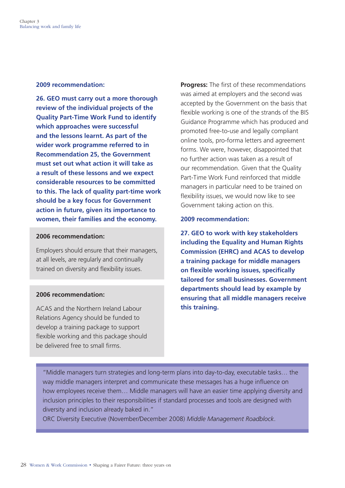#### **2009 recommendation:**

**26. GEO must carry out a more thorough review of the individual projects of the Quality Part-Time Work Fund to identify which approaches were successful and the lessons learnt. As part of the wider work programme referred to in Recommendation 25, the Government must set out what action it will take as a result of these lessons and we expect considerable resources to be committed to this. The lack of quality part-time work should be a key focus for Government action in future, given its importance to women, their families and the economy.** 

#### **2006 recommendation:**

Employers should ensure that their managers, at all levels, are regularly and continually trained on diversity and flexibility issues.

# **2006 recommendation:**

ACAS and the Northern Ireland Labour Relations Agency should be funded to develop a training package to support flexible working and this package should be delivered free to small firms.

**Progress:** The first of these recommendations was aimed at employers and the second was accepted by the Government on the basis that flexible working is one of the strands of the BIS Guidance Programme which has produced and promoted free-to-use and legally compliant online tools, pro-forma letters and agreement forms. We were, however, disappointed that no further action was taken as a result of our recommendation. Given that the Quality Part-Time Work Fund reinforced that middle managers in particular need to be trained on flexibility issues, we would now like to see Government taking action on this.

### **2009 recommendation:**

**27. GEO to work with key stakeholders including the Equality and Human Rights Commission (EHRC) and ACAS to develop a training package for middle managers on flexible working issues, specifically tailored for small businesses. Government departments should lead by example by ensuring that all middle managers receive this training.** 

"Middle managers turn strategies and long-term plans into day-to-day, executable tasks… the way middle managers interpret and communicate these messages has a huge influence on how employees receive them… Middle managers will have an easier time applying diversity and inclusion principles to their responsibilities if standard processes and tools are designed with diversity and inclusion already baked in."

ORC Diversity Executive (November/December 2008) *Middle Management Roadblock*.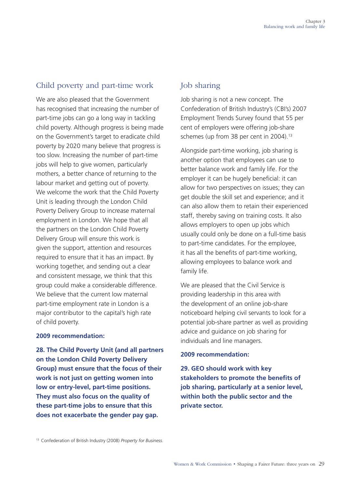# <span id="page-30-0"></span>Child poverty and part-time work

We are also pleased that the Government has recognised that increasing the number of part-time jobs can go a long way in tackling child poverty. Although progress is being made on the Government's target to eradicate child poverty by 2020 many believe that progress is too slow. Increasing the number of part-time jobs will help to give women, particularly mothers, a better chance of returning to the labour market and getting out of poverty. We welcome the work that the Child Poverty Unit is leading through the London Child Poverty Delivery Group to increase maternal employment in London. We hope that all the partners on the London Child Poverty Delivery Group will ensure this work is given the support, attention and resources required to ensure that it has an impact. By working together, and sending out a clear and consistent message, we think that this group could make a considerable difference. We believe that the current low maternal part-time employment rate in London is a major contributor to the capital's high rate of child poverty.

# **2009 recommendation:**

**28. The Child Poverty Unit (and all partners on the London Child Poverty Delivery Group) must ensure that the focus of their work is not just on getting women into low or entry-level, part-time positions. They must also focus on the quality of these part-time jobs to ensure that this does not exacerbate the gender pay gap.** 

# Job sharing

Job sharing is not a new concept. The Confederation of British Industry's (CBI's) 2007 Employment Trends Survey found that 55 per cent of employers were offering job-share schemes (up from 38 per cent in 2004).<sup>13</sup>

Alongside part-time working, job sharing is another option that employees can use to better balance work and family life. For the employer it can be hugely beneficial: it can allow for two perspectives on issues; they can get double the skill set and experience; and it can also allow them to retain their experienced staff, thereby saving on training costs. It also allows employers to open up jobs which usually could only be done on a full-time basis to part-time candidates. For the employee, it has all the benefits of part-time working, allowing employees to balance work and family life.

We are pleased that the Civil Service is providing leadership in this area with the development of an online job-share noticeboard helping civil servants to look for a potential job-share partner as well as providing advice and guidance on job sharing for individuals and line managers.

# **2009 recommendation:**

**29. GEO should work with key stakeholders to promote the benefits of job sharing, particularly at a senior level, within both the public sector and the private sector.** 

13 Confederation of British Industry (2008) *Property for Business.*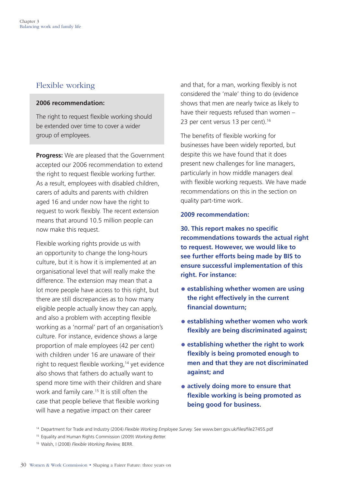# <span id="page-31-0"></span>Flexible working

# **2006 recommendation:**

The right to request flexible working should be extended over time to cover a wider group of employees.

**Progress:** We are pleased that the Government accepted our 2006 recommendation to extend the right to request flexible working further. As a result, employees with disabled children, carers of adults and parents with children aged 16 and under now have the right to request to work flexibly. The recent extension means that around 10.5 million people can now make this request.

Flexible working rights provide us with an opportunity to change the long-hours culture, but it is how it is implemented at an organisational level that will really make the difference. The extension may mean that a lot more people have access to this right, but there are still discrepancies as to how many eligible people actually know they can apply, and also a problem with accepting flexible working as a 'normal' part of an organisation's culture. For instance, evidence shows a large proportion of male employees (42 per cent) with children under 16 are unaware of their right to request flexible working,<sup>14</sup> yet evidence also shows that fathers do actually want to spend more time with their children and share work and family care.15 It is still often the case that people believe that flexible working will have a negative impact on their career

and that, for a man, working flexibly is not considered the 'male' thing to do (evidence shows that men are nearly twice as likely to have their requests refused than women – 23 per cent versus 13 per cent).<sup>16</sup>

The benefits of flexible working for businesses have been widely reported, but despite this we have found that it does present new challenges for line managers, particularly in how middle managers deal with flexible working requests. We have made recommendations on this in the section on quality part-time work.

# **2009 recommendation:**

**30. This report makes no specific recommendations towards the actual right to request. However, we would like to see further efforts being made by BIS to ensure successful implementation of this right. For instance:** 

- **establishing whether women are using the right effectively in the current financial downturn;**
- **establishing whether women who work flexibly are being discriminated against;**
- **establishing whether the right to work flexibly is being promoted enough to men and that they are not discriminated against; and**
- **actively doing more to ensure that flexible working is being promoted as being good for business.**

15 Equality and Human Rights Commission (2009) *Working Better.* 

<sup>14</sup> Department for Trade and Industry (2004) *Flexible Working Employee Survey.* See [www.berr.gov.uk/files/file27455.pdf](http://www.berr.gov.uk/files/file27455.pdf) 

<sup>16</sup> Walsh, I (2008) *Flexible Working Review,* BERR.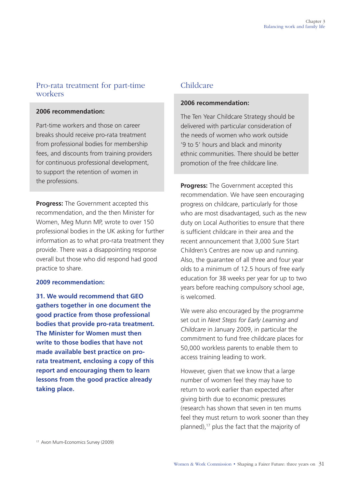# <span id="page-32-0"></span>Pro-rata treatment for part-time workers

### **2006 recommendation:**

Part-time workers and those on career breaks should receive pro-rata treatment from professional bodies for membership fees, and discounts from training providers for continuous professional development, to support the retention of women in the professions.

**Progress:** The Government accepted this recommendation, and the then Minister for Women, Meg Munn MP, wrote to over 150 professional bodies in the UK asking for further information as to what pro-rata treatment they provide. There was a disappointing response overall but those who did respond had good practice to share.

# **2009 recommendation:**

**31. We would recommend that GEO gathers together in one document the good practice from those professional bodies that provide pro-rata treatment. The Minister for Women must then write to those bodies that have not made available best practice on prorata treatment, enclosing a copy of this report and encouraging them to learn lessons from the good practice already taking place.** 

# Childcare

# **2006 recommendation:**

The Ten Year Childcare Strategy should be delivered with particular consideration of the needs of women who work outside '9 to 5' hours and black and minority ethnic communities. There should be better promotion of the free childcare line.

**Progress:** The Government accepted this recommendation. We have seen encouraging progress on childcare, particularly for those who are most disadvantaged, such as the new duty on Local Authorities to ensure that there is sufficient childcare in their area and the recent announcement that 3,000 Sure Start Children's Centres are now up and running. Also, the guarantee of all three and four year olds to a minimum of 12.5 hours of free early education for 38 weeks per year for up to two years before reaching compulsory school age, is welcomed.

We were also encouraged by the programme set out in *Next Steps for Early Learning and Childcare* in January 2009, in particular the commitment to fund free childcare places for 50,000 workless parents to enable them to access training leading to work.

However, given that we know that a large number of women feel they may have to return to work earlier than expected after giving birth due to economic pressures (research has shown that seven in ten mums feel they must return to work sooner than they planned),17 plus the fact that the majority of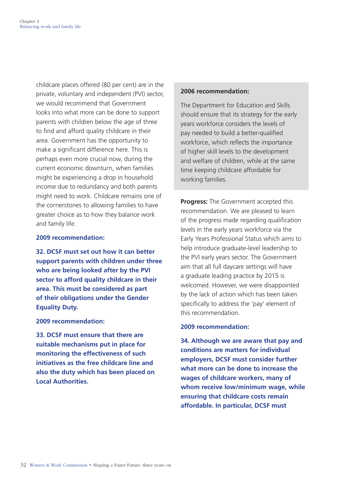childcare places offered (80 per cent) are in the private, voluntary and independent (PVI) sector, we would recommend that Government looks into what more can be done to support parents with children below the age of three to find and afford quality childcare in their area. Government has the opportunity to make a significant difference here. This is perhaps even more crucial now, during the current economic downturn, when families might be experiencing a drop in household income due to redundancy and both parents might need to work. Childcare remains one of the cornerstones to allowing families to have greater choice as to how they balance work and family life.

# **2009 recommendation:**

**32. DCSF must set out how it can better support parents with children under three who are being looked after by the PVI sector to afford quality childcare in their area. This must be considered as part of their obligations under the Gender Equality Duty.** 

# **2009 recommendation:**

**33. DCSF must ensure that there are suitable mechanisms put in place for monitoring the effectiveness of such initiatives as the free childcare line and also the duty which has been placed on Local Authorities.** 

### **2006 recommendation:**

The Department for Education and Skills should ensure that its strategy for the early years workforce considers the levels of pay needed to build a better-qualified workforce, which reflects the importance of higher skill levels to the development and welfare of children, while at the same time keeping childcare affordable for working families.

**Progress:** The Government accepted this recommendation. We are pleased to learn of the progress made regarding qualification levels in the early years workforce via the Early Years Professional Status which aims to help introduce graduate-level leadership to the PVI early years sector. The Government aim that all full daycare settings will have a graduate leading practice by 2015 is welcomed. However, we were disappointed by the lack of action which has been taken specifically to address the 'pay' element of this recommendation.

# **2009 recommendation:**

**34. Although we are aware that pay and conditions are matters for individual employers, DCSF must consider further what more can be done to increase the wages of childcare workers, many of whom receive low/minimum wage, while ensuring that childcare costs remain affordable. In particular, DCSF must**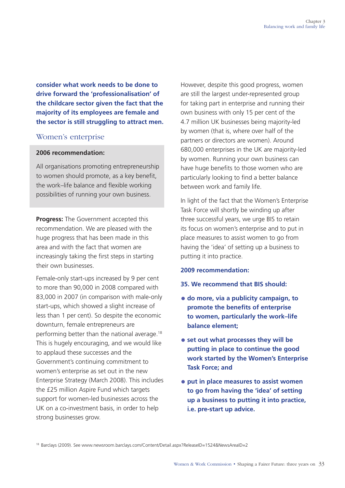<span id="page-34-0"></span>**consider what work needs to be done to drive forward the 'professionalisation' of the childcare sector given the fact that the majority of its employees are female and the sector is still struggling to attract men.** 

# Women's enterprise

# **2006 recommendation:**

All organisations promoting entrepreneurship to women should promote, as a key benefit, the work–life balance and flexible working possibilities of running your own business.

**Progress:** The Government accepted this recommendation. We are pleased with the huge progress that has been made in this area and with the fact that women are increasingly taking the first steps in starting their own businesses.

Female-only start-ups increased by 9 per cent to more than 90,000 in 2008 compared with 83,000 in 2007 (in comparison with male-only start-ups, which showed a slight increase of less than 1 per cent). So despite the economic downturn, female entrepreneurs are performing better than the national average.18 This is hugely encouraging, and we would like to applaud these successes and the Government's continuing commitment to women's enterprise as set out in the new Enterprise Strategy (March 2008). This includes the £25 million Aspire Fund which targets support for women-led businesses across the UK on a co-investment basis, in order to help strong businesses grow.

However, despite this good progress, women are still the largest under-represented group for taking part in enterprise and running their own business with only 15 per cent of the 4.7 million UK businesses being majority-led by women (that is, where over half of the partners or directors are women). Around 680,000 enterprises in the UK are majority-led by women. Running your own business can have huge benefits to those women who are particularly looking to find a better balance between work and family life.

In light of the fact that the Women's Enterprise Task Force will shortly be winding up after three successful years, we urge BIS to retain its focus on women's enterprise and to put in place measures to assist women to go from having the 'idea' of setting up a business to putting it into practice.

# **2009 recommendation:**

- **35. We recommend that BIS should:**
- **do more, via a publicity campaign, to promote the benefits of enterprise to women, particularly the work–life balance element;**
- **set out what processes they will be putting in place to continue the good work started by the Women's Enterprise Task Force; and**
- **put in place measures to assist women to go from having the 'idea' of setting up a business to putting it into practice, i.e. pre-start up advice.**

<sup>18</sup> Barclays (2009). See www.newsroom.barclays.com/Content/Detail.aspx?ReleaseID=1524&NewsAreaID=2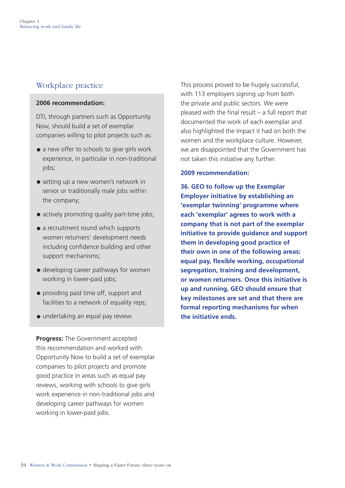# <span id="page-35-0"></span>Workplace practice

# **2006 recommendation:**

DTI, through partners such as Opportunity Now, should build a set of exemplar companies willing to pilot projects such as:

- a new offer to schools to give girls work experience, in particular in non-traditional jobs;
- setting up a new women's network in senior or traditionally male jobs within the company;
- actively promoting quality part-time jobs;
- a recruitment round which supports women returners' development needs including confidence building and other support mechanisms;
- developing career pathways for women working in lower-paid jobs;
- providing paid time off, support and facilities to a network of equality reps;
- undertaking an equal pay review.

**Progress:** The Government accepted this recommendation and worked with Opportunity Now to build a set of exemplar companies to pilot projects and promote good practice in areas such as equal pay reviews, working with schools to give girls work experience in non-traditional jobs and developing career pathways for women working in lower-paid jobs.

This process proved to be hugely successful, with 113 employers signing up from both the private and public sectors. We were pleased with the final result – a full report that documented the work of each exemplar and also highlighted the impact it had on both the women and the workplace culture. However, we are disappointed that the Government has not taken this initiative any further.

# **2009 recommendation:**

**36. GEO to follow up the Exemplar Employer initiative by establishing an 'exemplar twinning' programme where each 'exemplar' agrees to work with a company that is not part of the exemplar initiative to provide guidance and support them in developing good practice of their own in one of the following areas: equal pay, flexible working, occupational segregation, training and development, or women returners. Once this initiative is up and running, GEO should ensure that key milestones are set and that there are formal reporting mechanisms for when the initiative ends.**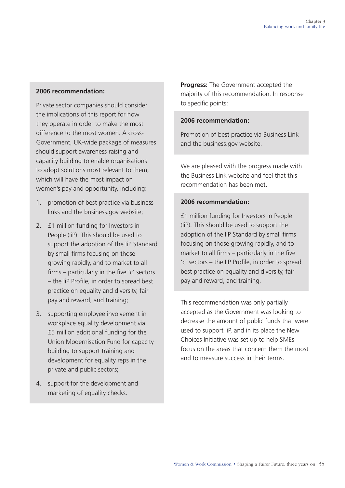# **2006 recommendation:**

Private sector companies should consider the implications of this report for how they operate in order to make the most difference to the most women. A cross-Government, UK-wide package of measures should support awareness raising and capacity building to enable organisations to adopt solutions most relevant to them, which will have the most impact on women's pay and opportunity, including:

- 1. promotion of best practice via business links and the business.gov website;
- 2. **£1 million funding for Investors in** People (IiP). This should be used to support the adoption of the IiP Standard by small firms focusing on those growing rapidly, and to market to all firms – particularly in the five 'c' sectors – the IiP Profile, in order to spread best practice on equality and diversity, fair pay and reward, and training;
- 3. supporting employee involvement in workplace equality development via £5 million additional funding for the Union Modernisation Fund for capacity building to support training and development for equality reps in the private and public sectors;
- 4. support for the development and marketing of equality checks.

**Progress:** The Government accepted the majority of this recommendation. In response to specific points:

# **2006 recommendation:**

Promotion of best practice via Business Link and the business.gov website.

We are pleased with the progress made with the Business Link website and feel that this recommendation has been met.

# **2006 recommendation:**

£1 million funding for Investors in People (IiP). This should be used to support the adoption of the IiP Standard by small firms focusing on those growing rapidly, and to market to all firms – particularly in the five 'c' sectors – the IiP Profile, in order to spread best practice on equality and diversity, fair pay and reward, and training.

This recommendation was only partially accepted as the Government was looking to decrease the amount of public funds that were used to support IiP, and in its place the New Choices Initiative was set up to help SMEs focus on the areas that concern them the most and to measure success in their terms.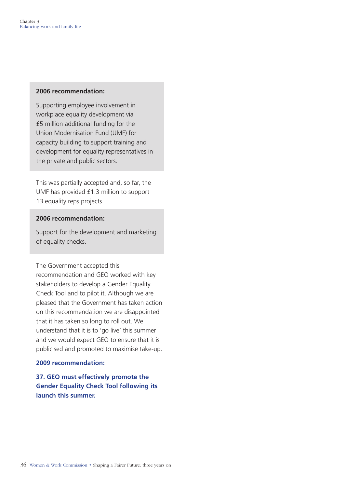#### **2006 recommendation:**

Supporting employee involvement in workplace equality development via £5 million additional funding for the Union Modernisation Fund (UMF) for capacity building to support training and development for equality representatives in the private and public sectors.

This was partially accepted and, so far, the UMF has provided £1.3 million to support 13 equality reps projects.

### **2006 recommendation:**

Support for the development and marketing of equality checks.

The Government accepted this recommendation and GEO worked with key stakeholders to develop a Gender Equality Check Tool and to pilot it. Although we are pleased that the Government has taken action on this recommendation we are disappointed that it has taken so long to roll out. We understand that it is to 'go live' this summer and we would expect GEO to ensure that it is publicised and promoted to maximise take-up.

# **2009 recommendation:**

**37. GEO must effectively promote the Gender Equality Check Tool following its launch this summer.**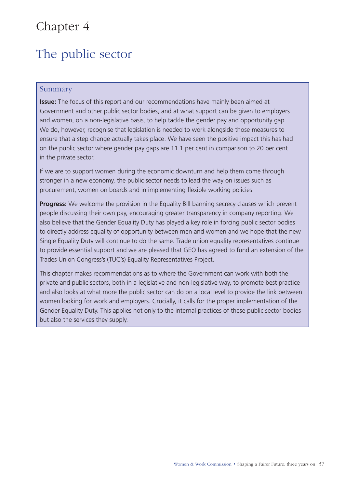# <span id="page-38-0"></span>Chapter 4

# The public sector

# Summary

**Issue:** The focus of this report and our recommendations have mainly been aimed at Government and other public sector bodies, and at what support can be given to employers and women, on a non-legislative basis, to help tackle the gender pay and opportunity gap. We do, however, recognise that legislation is needed to work alongside those measures to ensure that a step change actually takes place. We have seen the positive impact this has had on the public sector where gender pay gaps are 11.1 per cent in comparison to 20 per cent in the private sector.

If we are to support women during the economic downturn and help them come through stronger in a new economy, the public sector needs to lead the way on issues such as procurement, women on boards and in implementing flexible working policies.

**Progress:** We welcome the provision in the Equality Bill banning secrecy clauses which prevent people discussing their own pay, encouraging greater transparency in company reporting. We also believe that the Gender Equality Duty has played a key role in forcing public sector bodies to directly address equality of opportunity between men and women and we hope that the new Single Equality Duty will continue to do the same. Trade union equality representatives continue to provide essential support and we are pleased that GEO has agreed to fund an extension of the Trades Union Congress's (TUC's) Equality Representatives Project.

This chapter makes recommendations as to where the Government can work with both the private and public sectors, both in a legislative and non-legislative way, to promote best practice and also looks at what more the public sector can do on a local level to provide the link between women looking for work and employers. Crucially, it calls for the proper implementation of the Gender Equality Duty. This applies not only to the internal practices of these public sector bodies but also the services they supply.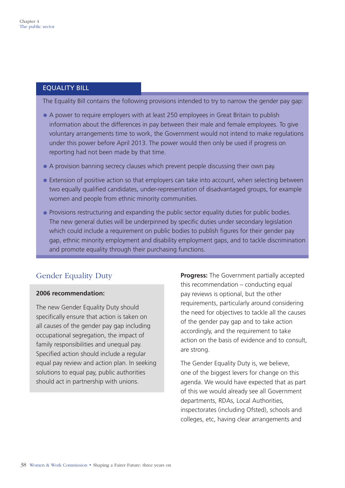# <span id="page-39-0"></span>EqUALiTY BiLL

The Equality Bill contains the following provisions intended to try to narrow the gender pay gap:

- A power to require employers with at least 250 employees in Great Britain to publish information about the differences in pay between their male and female employees. To give voluntary arrangements time to work, the Government would not intend to make regulations under this power before April 2013. The power would then only be used if progress on reporting had not been made by that time.
- A provision banning secrecy clauses which prevent people discussing their own pay.
- Extension of positive action so that employers can take into account, when selecting between two equally qualified candidates, under-representation of disadvantaged groups, for example women and people from ethnic minority communities.
- Provisions restructuring and expanding the public sector equality duties for public bodies. The new general duties will be underpinned by specific duties under secondary legislation which could include a requirement on public bodies to publish figures for their gender pay gap, ethnic minority employment and disability employment gaps, and to tackle discrimination and promote equality through their purchasing functions.

# Gender Equality Duty

# **2006 recommendation:**

The new Gender Equality Duty should specifically ensure that action is taken on all causes of the gender pay gap including occupational segregation, the impact of family responsibilities and unequal pay. Specified action should include a regular equal pay review and action plan. In seeking solutions to equal pay, public authorities should act in partnership with unions.

**Progress:** The Government partially accepted this recommendation – conducting equal pay reviews is optional, but the other requirements, particularly around considering the need for objectives to tackle all the causes of the gender pay gap and to take action accordingly, and the requirement to take action on the basis of evidence and to consult, are strong.

The Gender Equality Duty is, we believe, one of the biggest levers for change on this agenda. We would have expected that as part of this we would already see all Government departments, RDAs, Local Authorities, inspectorates (including Ofsted), schools and colleges, etc, having clear arrangements and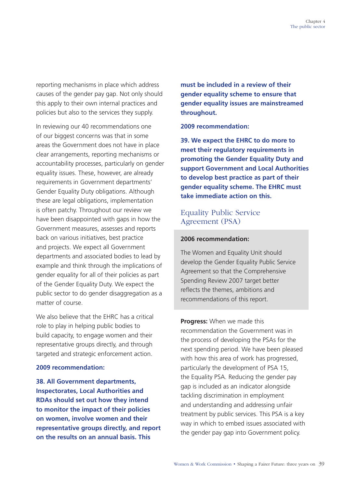<span id="page-40-0"></span>reporting mechanisms in place which address causes of the gender pay gap. Not only should this apply to their own internal practices and policies but also to the services they supply.

In reviewing our 40 recommendations one of our biggest concerns was that in some areas the Government does not have in place clear arrangements, reporting mechanisms or accountability processes, particularly on gender equality issues. These, however, are already requirements in Government departments' Gender Equality Duty obligations. Although these are legal obligations, implementation is often patchy. Throughout our review we have been disappointed with gaps in how the Government measures, assesses and reports back on various initiatives, best practice and projects. We expect all Government departments and associated bodies to lead by example and think through the implications of gender equality for all of their policies as part of the Gender Equality Duty. We expect the public sector to do gender disaggregation as a matter of course.

We also believe that the EHRC has a critical role to play in helping public bodies to build capacity, to engage women and their representative groups directly, and through targeted and strategic enforcement action.

#### **2009 recommendation:**

**38. All Government departments, Inspectorates, Local Authorities and RDAs should set out how they intend to monitor the impact of their policies on women, involve women and their representative groups directly, and report on the results on an annual basis. This** 

**must be included in a review of their gender equality scheme to ensure that gender equality issues are mainstreamed throughout.** 

### **2009 recommendation:**

**39. We expect the EHRC to do more to meet their regulatory requirements in promoting the Gender Equality Duty and support Government and Local Authorities to develop best practice as part of their gender equality scheme. The EHRC must take immediate action on this.** 

# Equality Public Service Agreement (PSA)

### **2006 recommendation:**

The Women and Equality Unit should develop the Gender Equality Public Service Agreement so that the Comprehensive Spending Review 2007 target better reflects the themes, ambitions and recommendations of this report.

**Progress:** When we made this recommendation the Government was in the process of developing the PSAs for the next spending period. We have been pleased with how this area of work has progressed, particularly the development of PSA 15, the Equality PSA. Reducing the gender pay gap is included as an indicator alongside tackling discrimination in employment and understanding and addressing unfair treatment by public services. This PSA is a key way in which to embed issues associated with the gender pay gap into Government policy.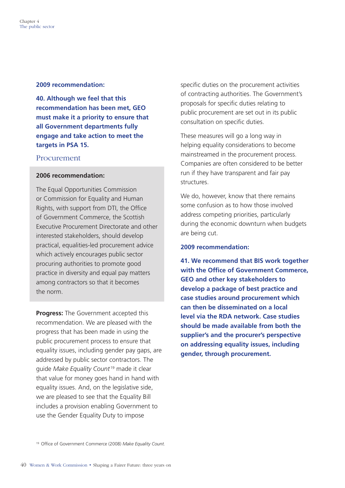#### <span id="page-41-0"></span>**2009 recommendation:**

**40. Although we feel that this recommendation has been met, GEO must make it a priority to ensure that all Government departments fully engage and take action to meet the targets in PSA 15.** 

# Procurement

### **2006 recommendation:**

The Equal Opportunities Commission or Commission for Equality and Human Rights, with support from DTI, the Office of Government Commerce, the Scottish Executive Procurement Directorate and other interested stakeholders, should develop practical, equalities-led procurement advice which actively encourages public sector procuring authorities to promote good practice in diversity and equal pay matters among contractors so that it becomes the norm.

**Progress:** The Government accepted this recommendation. We are pleased with the progress that has been made in using the public procurement process to ensure that equality issues, including gender pay gaps, are addressed by public sector contractors. The guide *Make Equality Count* 19 made it clear that value for money goes hand in hand with equality issues. And, on the legislative side, we are pleased to see that the Equality Bill includes a provision enabling Government to use the Gender Equality Duty to impose

specific duties on the procurement activities of contracting authorities. The Government's proposals for specific duties relating to public procurement are set out in its public consultation on specific duties.

These measures will go a long way in helping equality considerations to become mainstreamed in the procurement process. Companies are often considered to be better run if they have transparent and fair pay structures.

We do, however, know that there remains some confusion as to how those involved address competing priorities, particularly during the economic downturn when budgets are being cut.

#### **2009 recommendation:**

**41. We recommend that BIS work together with the Office of Government Commerce, GEO and other key stakeholders to develop a package of best practice and case studies around procurement which can then be disseminated on a local level via the RDA network. Case studies should be made available from both the supplier's and the procurer's perspective on addressing equality issues, including gender, through procurement.** 

<sup>19</sup> Office of Government Commerce (2008) *Make Equality Count.*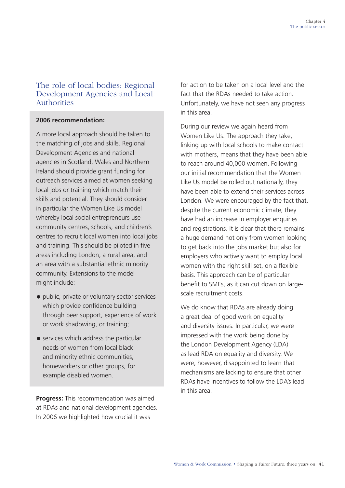# <span id="page-42-0"></span>The role of local bodies: Regional Development Agencies and Local Authorities

# **2006 recommendation:**

A more local approach should be taken to the matching of jobs and skills. Regional Development Agencies and national agencies in Scotland, Wales and Northern Ireland should provide grant funding for outreach services aimed at women seeking local jobs or training which match their skills and potential. They should consider in particular the Women Like Us model whereby local social entrepreneurs use community centres, schools, and children's centres to recruit local women into local jobs and training. This should be piloted in five areas including London, a rural area, and an area with a substantial ethnic minority community. Extensions to the model might include:

- public, private or voluntary sector services which provide confidence building through peer support, experience of work or work shadowing, or training;
- services which address the particular needs of women from local black and minority ethnic communities, homeworkers or other groups, for example disabled women.

**Progress:** This recommendation was aimed at RDAs and national development agencies. In 2006 we highlighted how crucial it was

for action to be taken on a local level and the fact that the RDAs needed to take action. Unfortunately, we have not seen any progress in this area.

During our review we again heard from Women Like Us. The approach they take, linking up with local schools to make contact with mothers, means that they have been able to reach around 40,000 women. Following our initial recommendation that the Women Like Us model be rolled out nationally, they have been able to extend their services across London. We were encouraged by the fact that, despite the current economic climate, they have had an increase in employer enquiries and registrations. It is clear that there remains a huge demand not only from women looking to get back into the jobs market but also for employers who actively want to employ local women with the right skill set, on a flexible basis. This approach can be of particular benefit to SMEs, as it can cut down on largescale recruitment costs.

We do know that RDAs are already doing a great deal of good work on equality and diversity issues. In particular, we were impressed with the work being done by the London Development Agency (LDA) as lead RDA on equality and diversity. We were, however, disappointed to learn that mechanisms are lacking to ensure that other RDAs have incentives to follow the LDA's lead in this area.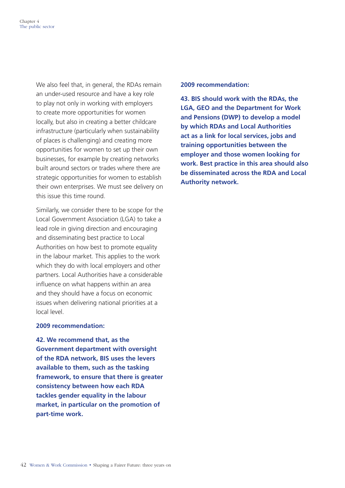We also feel that, in general, the RDAs remain an under-used resource and have a key role to play not only in working with employers to create more opportunities for women locally, but also in creating a better childcare infrastructure (particularly when sustainability of places is challenging) and creating more opportunities for women to set up their own businesses, for example by creating networks built around sectors or trades where there are strategic opportunities for women to establish their own enterprises. We must see delivery on this issue this time round.

Similarly, we consider there to be scope for the Local Government Association (LGA) to take a lead role in giving direction and encouraging and disseminating best practice to Local Authorities on how best to promote equality in the labour market. This applies to the work which they do with local employers and other partners. Local Authorities have a considerable influence on what happens within an area and they should have a focus on economic issues when delivering national priorities at a local level.

#### **2009 recommendation:**

**42. We recommend that, as the Government department with oversight of the RDA network, BIS uses the levers available to them, such as the tasking framework, to ensure that there is greater consistency between how each RDA tackles gender equality in the labour market, in particular on the promotion of part-time work.** 

### **2009 recommendation:**

**43. BIS should work with the RDAs, the LGA, GEO and the Department for Work and Pensions (DWP) to develop a model by which RDAs and Local Authorities act as a link for local services, jobs and training opportunities between the employer and those women looking for work. Best practice in this area should also be disseminated across the RDA and Local Authority network.**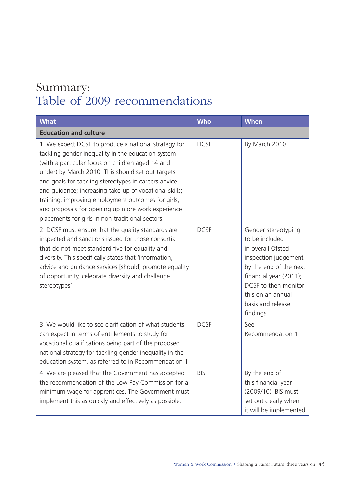# <span id="page-44-0"></span>Summary: Table of 2009 recommendations

| <b>What</b>                                                                                                                                                                                                                                                                                                                                                                                                                                                                                          | <b>Who</b>  | <b>When</b>                                                                                                                                                                                                          |
|------------------------------------------------------------------------------------------------------------------------------------------------------------------------------------------------------------------------------------------------------------------------------------------------------------------------------------------------------------------------------------------------------------------------------------------------------------------------------------------------------|-------------|----------------------------------------------------------------------------------------------------------------------------------------------------------------------------------------------------------------------|
| <b>Education and culture</b>                                                                                                                                                                                                                                                                                                                                                                                                                                                                         |             |                                                                                                                                                                                                                      |
| 1. We expect DCSF to produce a national strategy for<br>tackling gender inequality in the education system<br>(with a particular focus on children aged 14 and<br>under) by March 2010. This should set out targets<br>and goals for tackling stereotypes in careers advice<br>and guidance; increasing take-up of vocational skills;<br>training; improving employment outcomes for girls;<br>and proposals for opening up more work experience<br>placements for girls in non-traditional sectors. | <b>DCSF</b> | By March 2010                                                                                                                                                                                                        |
| 2. DCSF must ensure that the quality standards are<br>inspected and sanctions issued for those consortia<br>that do not meet standard five for equality and<br>diversity. This specifically states that 'information,<br>advice and guidance services [should] promote equality<br>of opportunity, celebrate diversity and challenge<br>stereotypes'.                                                                                                                                                | <b>DCSF</b> | Gender stereotyping<br>to be included<br>in overall Ofsted<br>inspection judgement<br>by the end of the next<br>financial year (2011);<br>DCSF to then monitor<br>this on an annual<br>basis and release<br>findings |
| 3. We would like to see clarification of what students<br>can expect in terms of entitlements to study for<br>vocational qualifications being part of the proposed<br>national strategy for tackling gender inequality in the<br>education system, as referred to in Recommendation 1.                                                                                                                                                                                                               | <b>DCSF</b> | See<br>Recommendation 1                                                                                                                                                                                              |
| 4. We are pleased that the Government has accepted<br>the recommendation of the Low Pay Commission for a<br>minimum wage for apprentices. The Government must<br>implement this as quickly and effectively as possible.                                                                                                                                                                                                                                                                              | <b>BIS</b>  | By the end of<br>this financial year<br>(2009/10), BIS must<br>set out clearly when<br>it will be implemented                                                                                                        |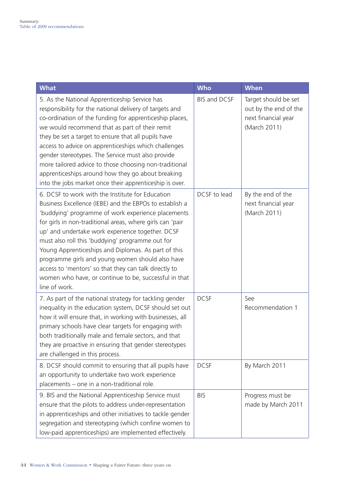| <b>What</b>                                                                                                                                                                                                                                                                                                                                                                                                                                                                                                                                                                          | <b>Who</b>   | <b>When</b>                                                                          |
|--------------------------------------------------------------------------------------------------------------------------------------------------------------------------------------------------------------------------------------------------------------------------------------------------------------------------------------------------------------------------------------------------------------------------------------------------------------------------------------------------------------------------------------------------------------------------------------|--------------|--------------------------------------------------------------------------------------|
| 5. As the National Apprenticeship Service has<br>responsibility for the national delivery of targets and<br>co-ordination of the funding for apprenticeship places,<br>we would recommend that as part of their remit<br>they be set a target to ensure that all pupils have<br>access to advice on apprenticeships which challenges<br>gender stereotypes. The Service must also provide<br>more tailored advice to those choosing non-traditional<br>apprenticeships around how they go about breaking<br>into the jobs market once their apprenticeship is over.                  | BIS and DCSF | Target should be set<br>out by the end of the<br>next financial year<br>(March 2011) |
| 6. DCSF to work with the Institute for Education<br>Business Excellence (IEBE) and the EBPOs to establish a<br>'buddying' programme of work experience placements<br>for girls in non-traditional areas, where girls can 'pair<br>up' and undertake work experience together. DCSF<br>must also roll this 'buddying' programme out for<br>Young Apprenticeships and Diplomas. As part of this<br>programme girls and young women should also have<br>access to 'mentors' so that they can talk directly to<br>women who have, or continue to be, successful in that<br>line of work. | DCSF to lead | By the end of the<br>next financial year<br>(March 2011)                             |
| 7. As part of the national strategy for tackling gender<br>inequality in the education system, DCSF should set out<br>how it will ensure that, in working with businesses, all<br>primary schools have clear targets for engaging with<br>both traditionally male and female sectors, and that<br>they are proactive in ensuring that gender stereotypes<br>are challenged in this process.                                                                                                                                                                                          | <b>DCSF</b>  | See<br>Recommendation 1                                                              |
| 8. DCSF should commit to ensuring that all pupils have<br>an opportunity to undertake two work experience<br>placements - one in a non-traditional role.                                                                                                                                                                                                                                                                                                                                                                                                                             | <b>DCSF</b>  | By March 2011                                                                        |
| 9. BIS and the National Apprenticeship Service must<br>ensure that the pilots to address under-representation<br>in apprenticeships and other initiatives to tackle gender<br>segregation and stereotyping (which confine women to<br>low-paid apprenticeships) are implemented effectively.                                                                                                                                                                                                                                                                                         | <b>BIS</b>   | Progress must be<br>made by March 2011                                               |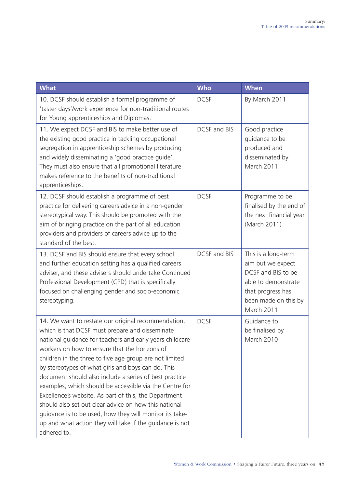| <b>What</b>                                                                                                                                                                                                                                                                                                                                                                                                                                                                                                                                                                                                                                                                                                       | <b>Who</b>   | <b>When</b>                                                                                                                                      |
|-------------------------------------------------------------------------------------------------------------------------------------------------------------------------------------------------------------------------------------------------------------------------------------------------------------------------------------------------------------------------------------------------------------------------------------------------------------------------------------------------------------------------------------------------------------------------------------------------------------------------------------------------------------------------------------------------------------------|--------------|--------------------------------------------------------------------------------------------------------------------------------------------------|
| 10. DCSF should establish a formal programme of<br>'taster days'/work experience for non-traditional routes<br>for Young apprenticeships and Diplomas.                                                                                                                                                                                                                                                                                                                                                                                                                                                                                                                                                            | <b>DCSF</b>  | By March 2011                                                                                                                                    |
| 11. We expect DCSF and BIS to make better use of<br>the existing good practice in tackling occupational<br>segregation in apprenticeship schemes by producing<br>and widely disseminating a 'good practice guide'.<br>They must also ensure that all promotional literature<br>makes reference to the benefits of non-traditional<br>apprenticeships.                                                                                                                                                                                                                                                                                                                                                             | DCSF and BIS | Good practice<br>guidance to be<br>produced and<br>disseminated by<br>March 2011                                                                 |
| 12. DCSF should establish a programme of best<br>practice for delivering careers advice in a non-gender<br>stereotypical way. This should be promoted with the<br>aim of bringing practice on the part of all education<br>providers and providers of careers advice up to the<br>standard of the best.                                                                                                                                                                                                                                                                                                                                                                                                           | <b>DCSF</b>  | Programme to be<br>finalised by the end of<br>the next financial year<br>(March 2011)                                                            |
| 13. DCSF and BIS should ensure that every school<br>and further education setting has a qualified careers<br>adviser, and these advisers should undertake Continued<br>Professional Development (CPD) that is specifically<br>focused on challenging gender and socio-economic<br>stereotyping.                                                                                                                                                                                                                                                                                                                                                                                                                   | DCSF and BIS | This is a long-term<br>aim but we expect<br>DCSF and BIS to be<br>able to demonstrate<br>that progress has<br>been made on this by<br>March 2011 |
| 14. We want to restate our original recommendation,<br>which is that DCSF must prepare and disseminate<br>national guidance for teachers and early years childcare<br>workers on how to ensure that the horizons of<br>children in the three to five age group are not limited<br>by stereotypes of what girls and boys can do. This<br>document should also include a series of best practice<br>examples, which should be accessible via the Centre for<br>Excellence's website. As part of this, the Department<br>should also set out clear advice on how this national<br>guidance is to be used, how they will monitor its take-<br>up and what action they will take if the guidance is not<br>adhered to. | <b>DCSF</b>  | Guidance to<br>be finalised by<br>March 2010                                                                                                     |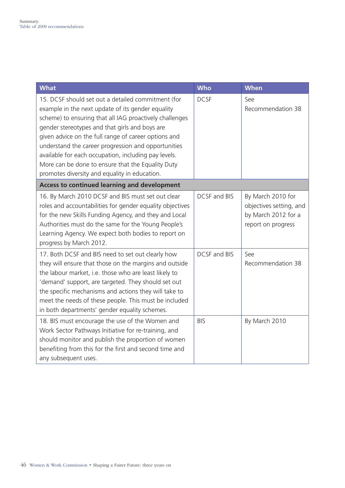| <b>What</b>                                                                                                                                                                                                                                                                                                                                                                                                                                                                                       | <b>Who</b>          | <b>When</b>                                                                               |
|---------------------------------------------------------------------------------------------------------------------------------------------------------------------------------------------------------------------------------------------------------------------------------------------------------------------------------------------------------------------------------------------------------------------------------------------------------------------------------------------------|---------------------|-------------------------------------------------------------------------------------------|
| 15. DCSF should set out a detailed commitment (for<br>example in the next update of its gender equality<br>scheme) to ensuring that all IAG proactively challenges<br>gender stereotypes and that girls and boys are<br>given advice on the full range of career options and<br>understand the career progression and opportunities<br>available for each occupation, including pay levels.<br>More can be done to ensure that the Equality Duty<br>promotes diversity and equality in education. | <b>DCSF</b>         | See<br>Recommendation 38                                                                  |
| <b>Access to continued learning and development</b>                                                                                                                                                                                                                                                                                                                                                                                                                                               |                     |                                                                                           |
| 16. By March 2010 DCSF and BIS must set out clear<br>roles and accountabilities for gender equality objectives<br>for the new Skills Funding Agency, and they and Local<br>Authorities must do the same for the Young People's<br>Learning Agency. We expect both bodies to report on<br>progress by March 2012.                                                                                                                                                                                  | <b>DCSF and BIS</b> | By March 2010 for<br>objectives setting, and<br>by March 2012 for a<br>report on progress |
| 17. Both DCSF and BIS need to set out clearly how<br>they will ensure that those on the margins and outside<br>the labour market, i.e. those who are least likely to<br>'demand' support, are targeted. They should set out<br>the specific mechanisms and actions they will take to<br>meet the needs of these people. This must be included<br>in both departments' gender equality schemes.                                                                                                    | DCSF and BIS        | See<br>Recommendation 38                                                                  |
| 18. BIS must encourage the use of the Women and<br>Work Sector Pathways Initiative for re-training, and<br>should monitor and publish the proportion of women<br>benefiting from this for the first and second time and<br>any subsequent uses.                                                                                                                                                                                                                                                   | <b>BIS</b>          | By March 2010                                                                             |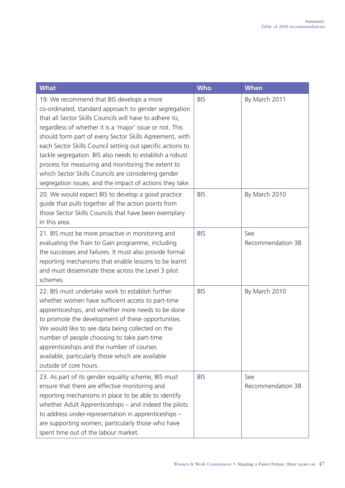| <b>What</b>                                                                                                                                                                                                                                                                                                                                                                                                                                                                                                                                                                             | <b>Who</b> | <b>When</b>              |
|-----------------------------------------------------------------------------------------------------------------------------------------------------------------------------------------------------------------------------------------------------------------------------------------------------------------------------------------------------------------------------------------------------------------------------------------------------------------------------------------------------------------------------------------------------------------------------------------|------------|--------------------------|
| 19. We recommend that BIS develops a more<br>co-ordinated, standard approach to gender segregation<br>that all Sector Skills Councils will have to adhere to,<br>regardless of whether it is a 'major' issue or not. This<br>should form part of every Sector Skills Agreement, with<br>each Sector Skills Council setting out specific actions to<br>tackle segregation. BIS also needs to establish a robust<br>process for measuring and monitoring the extent to<br>which Sector Skills Councils are considering gender<br>segregation issues, and the impact of actions they take. | <b>BIS</b> | By March 2011            |
| 20. We would expect BIS to develop a good practice<br>guide that pulls together all the action points from<br>those Sector Skills Councils that have been exemplary<br>in this area.                                                                                                                                                                                                                                                                                                                                                                                                    | <b>BIS</b> | By March 2010            |
| 21. BIS must be more proactive in monitoring and<br>evaluating the Train to Gain programme, including<br>the successes and failures. It must also provide formal<br>reporting mechanisms that enable lessons to be learnt<br>and must disseminate these across the Level 3 pilot<br>schemes.                                                                                                                                                                                                                                                                                            | <b>BIS</b> | See<br>Recommendation 38 |
| 22. BIS must undertake work to establish further<br>whether women have sufficient access to part-time<br>apprenticeships, and whether more needs to be done<br>to promote the development of these opportunities.<br>We would like to see data being collected on the<br>number of people choosing to take part-time<br>apprenticeships and the number of courses<br>available, particularly those which are available<br>outside of core hours.                                                                                                                                        | <b>BIS</b> | By March 2010            |
| 23. As part of its gender equality scheme, BIS must<br>ensure that there are effective monitoring and<br>reporting mechanisms in place to be able to identify<br>whether Adult Apprenticeships - and indeed the pilots<br>to address under-representation in apprenticeships -<br>are supporting women, particularly those who have<br>spent time out of the labour market.                                                                                                                                                                                                             | <b>BIS</b> | See<br>Recommendation 38 |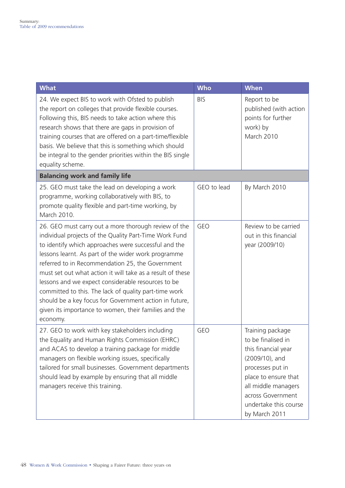| <b>What</b>                                                                                                                                                                                                                                                                                                                                                                                                                                                                                                                                                                                   | <b>Who</b>  | <b>When</b>                                                                                                                                                                                                       |
|-----------------------------------------------------------------------------------------------------------------------------------------------------------------------------------------------------------------------------------------------------------------------------------------------------------------------------------------------------------------------------------------------------------------------------------------------------------------------------------------------------------------------------------------------------------------------------------------------|-------------|-------------------------------------------------------------------------------------------------------------------------------------------------------------------------------------------------------------------|
| 24. We expect BIS to work with Ofsted to publish<br>the report on colleges that provide flexible courses.<br>Following this, BIS needs to take action where this<br>research shows that there are gaps in provision of<br>training courses that are offered on a part-time/flexible<br>basis. We believe that this is something which should<br>be integral to the gender priorities within the BIS single<br>equality scheme.                                                                                                                                                                | <b>BIS</b>  | Report to be<br>published (with action<br>points for further<br>work) by<br>March 2010                                                                                                                            |
| <b>Balancing work and family life</b>                                                                                                                                                                                                                                                                                                                                                                                                                                                                                                                                                         |             |                                                                                                                                                                                                                   |
| 25. GEO must take the lead on developing a work<br>programme, working collaboratively with BIS, to<br>promote quality flexible and part-time working, by<br>March 2010.                                                                                                                                                                                                                                                                                                                                                                                                                       | GEO to lead | By March 2010                                                                                                                                                                                                     |
| 26. GEO must carry out a more thorough review of the<br>individual projects of the Quality Part-Time Work Fund<br>to identify which approaches were successful and the<br>lessons learnt. As part of the wider work programme<br>referred to in Recommendation 25, the Government<br>must set out what action it will take as a result of these<br>lessons and we expect considerable resources to be<br>committed to this. The lack of quality part-time work<br>should be a key focus for Government action in future,<br>given its importance to women, their families and the<br>economy. | <b>GEO</b>  | Review to be carried<br>out in this financial<br>year (2009/10)                                                                                                                                                   |
| 27. GEO to work with key stakeholders including<br>the Equality and Human Rights Commission (EHRC)<br>and ACAS to develop a training package for middle<br>managers on flexible working issues, specifically<br>tailored for small businesses. Government departments<br>should lead by example by ensuring that all middle<br>managers receive this training.                                                                                                                                                                                                                                | <b>GEO</b>  | Training package<br>to be finalised in<br>this financial year<br>(2009/10), and<br>processes put in<br>place to ensure that<br>all middle managers<br>across Government<br>undertake this course<br>by March 2011 |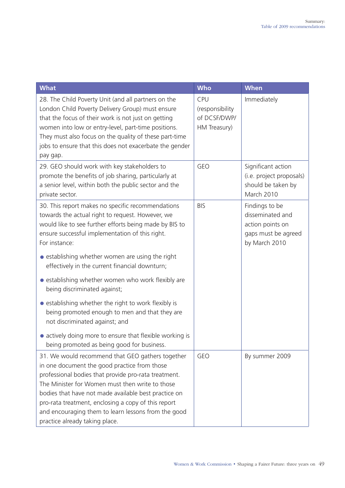| <b>What</b>                                                                                                                                                                                                                                                                                                                                                                                                         | <b>Who</b>                                             | <b>When</b>                                                                                    |
|---------------------------------------------------------------------------------------------------------------------------------------------------------------------------------------------------------------------------------------------------------------------------------------------------------------------------------------------------------------------------------------------------------------------|--------------------------------------------------------|------------------------------------------------------------------------------------------------|
| 28. The Child Poverty Unit (and all partners on the<br>London Child Poverty Delivery Group) must ensure<br>that the focus of their work is not just on getting<br>women into low or entry-level, part-time positions.<br>They must also focus on the quality of these part-time<br>jobs to ensure that this does not exacerbate the gender<br>pay gap.                                                              | CPU<br>(responsibility<br>of DCSF/DWP/<br>HM Treasury) | Immediately                                                                                    |
| 29. GEO should work with key stakeholders to<br>promote the benefits of job sharing, particularly at<br>a senior level, within both the public sector and the<br>private sector.                                                                                                                                                                                                                                    | <b>GEO</b>                                             | Significant action<br>(i.e. project proposals)<br>should be taken by<br>March 2010             |
| 30. This report makes no specific recommendations<br>towards the actual right to request. However, we<br>would like to see further efforts being made by BIS to<br>ensure successful implementation of this right.<br>For instance:                                                                                                                                                                                 | <b>BIS</b>                                             | Findings to be<br>disseminated and<br>action points on<br>gaps must be agreed<br>by March 2010 |
| • establishing whether women are using the right<br>effectively in the current financial downturn;                                                                                                                                                                                                                                                                                                                  |                                                        |                                                                                                |
| • establishing whether women who work flexibly are<br>being discriminated against;                                                                                                                                                                                                                                                                                                                                  |                                                        |                                                                                                |
| • establishing whether the right to work flexibly is<br>being promoted enough to men and that they are<br>not discriminated against; and                                                                                                                                                                                                                                                                            |                                                        |                                                                                                |
| • actively doing more to ensure that flexible working is<br>being promoted as being good for business.                                                                                                                                                                                                                                                                                                              |                                                        |                                                                                                |
| 31. We would recommend that GEO gathers together<br>in one document the good practice from those<br>professional bodies that provide pro-rata treatment.<br>The Minister for Women must then write to those<br>bodies that have not made available best practice on<br>pro-rata treatment, enclosing a copy of this report<br>and encouraging them to learn lessons from the good<br>practice already taking place. | <b>GEO</b>                                             | By summer 2009                                                                                 |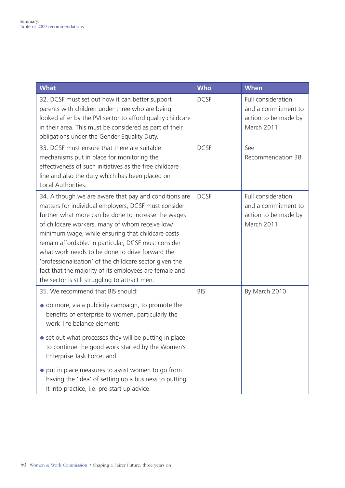| <b>What</b>                                                                                                                                                                                                                                                                                                                                                                                                                                                                                                                                                    | <b>Who</b>  | <b>When</b>                                                                     |
|----------------------------------------------------------------------------------------------------------------------------------------------------------------------------------------------------------------------------------------------------------------------------------------------------------------------------------------------------------------------------------------------------------------------------------------------------------------------------------------------------------------------------------------------------------------|-------------|---------------------------------------------------------------------------------|
| 32. DCSF must set out how it can better support<br>parents with children under three who are being<br>looked after by the PVI sector to afford quality childcare<br>in their area. This must be considered as part of their<br>obligations under the Gender Equality Duty.                                                                                                                                                                                                                                                                                     | <b>DCSF</b> | Full consideration<br>and a commitment to<br>action to be made by<br>March 2011 |
| 33. DCSF must ensure that there are suitable<br>mechanisms put in place for monitoring the<br>effectiveness of such initiatives as the free childcare<br>line and also the duty which has been placed on<br>Local Authorities.                                                                                                                                                                                                                                                                                                                                 | <b>DCSF</b> | See<br>Recommendation 38                                                        |
| 34. Although we are aware that pay and conditions are<br>matters for individual employers, DCSF must consider<br>further what more can be done to increase the wages<br>of childcare workers, many of whom receive low/<br>minimum wage, while ensuring that childcare costs<br>remain affordable. In particular, DCSF must consider<br>what work needs to be done to drive forward the<br>'professionalisation' of the childcare sector given the<br>fact that the majority of its employees are female and<br>the sector is still struggling to attract men. | <b>DCSF</b> | Full consideration<br>and a commitment to<br>action to be made by<br>March 2011 |
| 35. We recommend that BIS should:<br>• do more, via a publicity campaign, to promote the<br>benefits of enterprise to women, particularly the<br>work-life balance element;<br>• set out what processes they will be putting in place<br>to continue the good work started by the Women's<br>Enterprise Task Force; and                                                                                                                                                                                                                                        | <b>BIS</b>  | By March 2010                                                                   |
| put in place measures to assist women to go from<br>having the 'idea' of setting up a business to putting<br>it into practice, i.e. pre-start up advice.                                                                                                                                                                                                                                                                                                                                                                                                       |             |                                                                                 |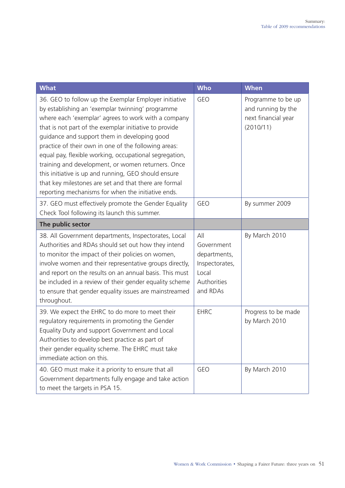| <b>What</b>                                                                                                                                                                                                                                                                                                                                                                                                                                                                                                                                                                                                               | <b>Who</b>                                                                              | <b>When</b>                                                                  |
|---------------------------------------------------------------------------------------------------------------------------------------------------------------------------------------------------------------------------------------------------------------------------------------------------------------------------------------------------------------------------------------------------------------------------------------------------------------------------------------------------------------------------------------------------------------------------------------------------------------------------|-----------------------------------------------------------------------------------------|------------------------------------------------------------------------------|
| 36. GEO to follow up the Exemplar Employer initiative<br>by establishing an 'exemplar twinning' programme<br>where each 'exemplar' agrees to work with a company<br>that is not part of the exemplar initiative to provide<br>guidance and support them in developing good<br>practice of their own in one of the following areas:<br>equal pay, flexible working, occupational segregation,<br>training and development, or women returners. Once<br>this initiative is up and running, GEO should ensure<br>that key milestones are set and that there are formal<br>reporting mechanisms for when the initiative ends. | <b>GEO</b>                                                                              | Programme to be up<br>and running by the<br>next financial year<br>(2010/11) |
| 37. GEO must effectively promote the Gender Equality<br>Check Tool following its launch this summer.                                                                                                                                                                                                                                                                                                                                                                                                                                                                                                                      | <b>GEO</b>                                                                              | By summer 2009                                                               |
| The public sector                                                                                                                                                                                                                                                                                                                                                                                                                                                                                                                                                                                                         |                                                                                         |                                                                              |
| 38. All Government departments, Inspectorates, Local<br>Authorities and RDAs should set out how they intend<br>to monitor the impact of their policies on women,<br>involve women and their representative groups directly,<br>and report on the results on an annual basis. This must<br>be included in a review of their gender equality scheme<br>to ensure that gender equality issues are mainstreamed<br>throughout.                                                                                                                                                                                                | All<br>Government<br>departments,<br>Inspectorates,<br>Local<br>Authorities<br>and RDAs | By March 2010                                                                |
| 39. We expect the EHRC to do more to meet their<br>regulatory requirements in promoting the Gender<br>Equality Duty and support Government and Local<br>Authorities to develop best practice as part of<br>their gender equality scheme. The EHRC must take<br>immediate action on this.                                                                                                                                                                                                                                                                                                                                  | <b>EHRC</b>                                                                             | Progress to be made<br>by March 2010                                         |
| 40. GEO must make it a priority to ensure that all<br>Government departments fully engage and take action<br>to meet the targets in PSA 15.                                                                                                                                                                                                                                                                                                                                                                                                                                                                               | <b>GEO</b>                                                                              | By March 2010                                                                |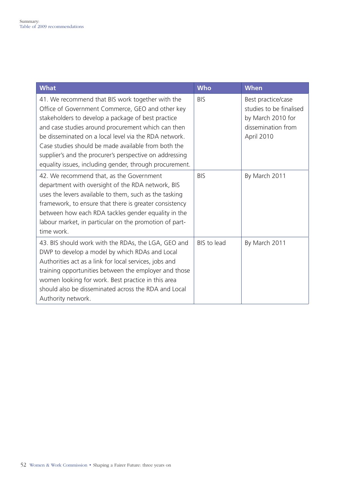| <b>What</b>                                                                                                                                                                                                                                                                                                                                                                                                                                            | <b>Who</b>  | <b>When</b>                                                                                            |
|--------------------------------------------------------------------------------------------------------------------------------------------------------------------------------------------------------------------------------------------------------------------------------------------------------------------------------------------------------------------------------------------------------------------------------------------------------|-------------|--------------------------------------------------------------------------------------------------------|
| 41. We recommend that BIS work together with the<br>Office of Government Commerce, GEO and other key<br>stakeholders to develop a package of best practice<br>and case studies around procurement which can then<br>be disseminated on a local level via the RDA network.<br>Case studies should be made available from both the<br>supplier's and the procurer's perspective on addressing<br>equality issues, including gender, through procurement. | <b>BIS</b>  | Best practice/case<br>studies to be finalised<br>by March 2010 for<br>dissemination from<br>April 2010 |
| 42. We recommend that, as the Government<br>department with oversight of the RDA network, BIS<br>uses the levers available to them, such as the tasking<br>framework, to ensure that there is greater consistency<br>between how each RDA tackles gender equality in the<br>labour market, in particular on the promotion of part-<br>time work.                                                                                                       | <b>BIS</b>  | By March 2011                                                                                          |
| 43. BIS should work with the RDAs, the LGA, GEO and<br>DWP to develop a model by which RDAs and Local<br>Authorities act as a link for local services, jobs and<br>training opportunities between the employer and those<br>women looking for work. Best practice in this area<br>should also be disseminated across the RDA and Local<br>Authority network.                                                                                           | BIS to lead | By March 2011                                                                                          |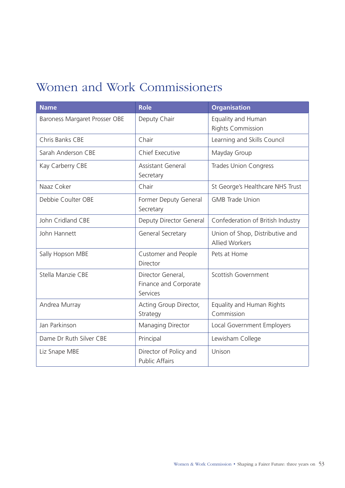# <span id="page-54-0"></span>Women and Work Commissioners

| <b>Name</b>                   | <b>Role</b>                                            | <b>Organisation</b>                                      |
|-------------------------------|--------------------------------------------------------|----------------------------------------------------------|
| Baroness Margaret Prosser OBE | Deputy Chair                                           | Equality and Human<br><b>Rights Commission</b>           |
| Chris Banks CBE               | Chair                                                  | Learning and Skills Council                              |
| Sarah Anderson CBE            | Chief Executive                                        | Mayday Group                                             |
| Kay Carberry CBE              | <b>Assistant General</b><br>Secretary                  | <b>Trades Union Congress</b>                             |
| Naaz Coker                    | Chair                                                  | St George's Healthcare NHS Trust                         |
| Debbie Coulter OBE            | Former Deputy General<br>Secretary                     | <b>GMB Trade Union</b>                                   |
| John Cridland CBE             | Deputy Director General                                | Confederation of British Industry                        |
| John Hannett                  | General Secretary                                      | Union of Shop, Distributive and<br><b>Allied Workers</b> |
| Sally Hopson MBE              | Customer and People<br>Director                        | Pets at Home                                             |
| Stella Manzie CBE             | Director General,<br>Finance and Corporate<br>Services | Scottish Government                                      |
| Andrea Murray                 | Acting Group Director,<br>Strategy                     | Equality and Human Rights<br>Commission                  |
| Jan Parkinson                 | Managing Director                                      | Local Government Employers                               |
| Dame Dr Ruth Silver CBE       | Principal                                              | Lewisham College                                         |
| Liz Snape MBE                 | Director of Policy and<br><b>Public Affairs</b>        | Unison                                                   |